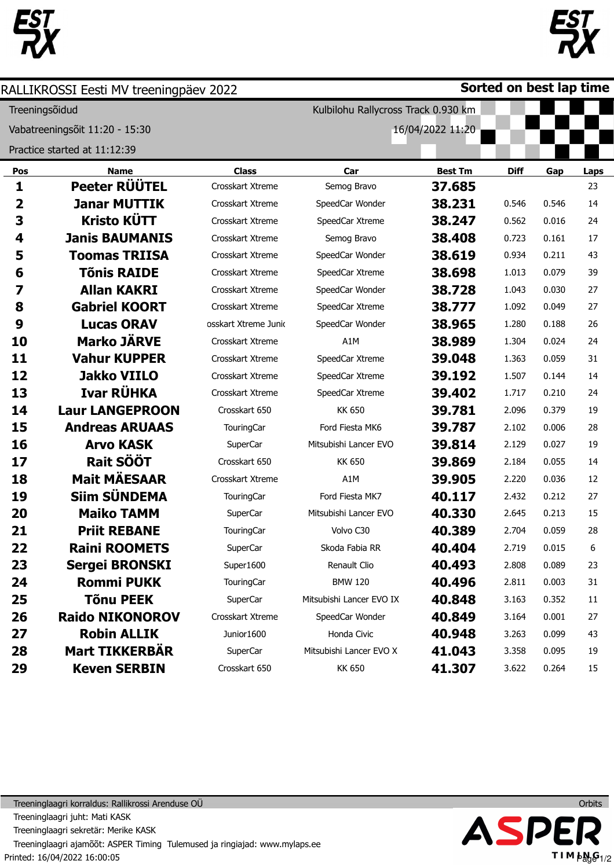



|                | RALLIKROSSI Eesti MV treeningpäev 2022 |                      |                                     |                  | Sorted on best lap time |       |             |  |  |  |
|----------------|----------------------------------------|----------------------|-------------------------------------|------------------|-------------------------|-------|-------------|--|--|--|
| Treeningsõidud |                                        |                      | Kulbilohu Rallycross Track 0.930 km |                  |                         |       |             |  |  |  |
|                | Vabatreeningsõit 11:20 - 15:30         |                      |                                     | 16/04/2022 11:20 |                         |       |             |  |  |  |
|                | Practice started at 11:12:39           |                      |                                     |                  |                         |       |             |  |  |  |
| Pos            | <b>Name</b>                            | <b>Class</b>         | Car                                 | <b>Best Tm</b>   | <b>Diff</b>             | Gap   | <b>Laps</b> |  |  |  |
| $\mathbf{1}$   | Peeter RÜÜTEL                          | Crosskart Xtreme     | Semog Bravo                         | 37.685           |                         |       | 23          |  |  |  |
| 2              | <b>Janar MUTTIK</b>                    | Crosskart Xtreme     | SpeedCar Wonder                     | 38.231           | 0.546                   | 0.546 | 14          |  |  |  |
| 3              | <b>Kristo KÜTT</b>                     | Crosskart Xtreme     | SpeedCar Xtreme                     | 38.247           | 0.562                   | 0.016 | 24          |  |  |  |
| 4              | <b>Janis BAUMANIS</b>                  | Crosskart Xtreme     | Semog Bravo                         | 38.408           | 0.723                   | 0.161 | 17          |  |  |  |
| 5              | <b>Toomas TRIISA</b>                   | Crosskart Xtreme     | SpeedCar Wonder                     | 38.619           | 0.934                   | 0.211 | 43          |  |  |  |
| 6              | <b>Tõnis RAIDE</b>                     | Crosskart Xtreme     | SpeedCar Xtreme                     | 38.698           | 1.013                   | 0.079 | 39          |  |  |  |
| 7              | <b>Allan KAKRI</b>                     | Crosskart Xtreme     | SpeedCar Wonder                     | 38.728           | 1.043                   | 0.030 | 27          |  |  |  |
| 8              | <b>Gabriel KOORT</b>                   | Crosskart Xtreme     | SpeedCar Xtreme                     | 38.777           | 1.092                   | 0.049 | 27          |  |  |  |
| 9              | <b>Lucas ORAV</b>                      | osskart Xtreme Junio | SpeedCar Wonder                     | 38.965           | 1.280                   | 0.188 | 26          |  |  |  |
| 10             | <b>Marko JÄRVE</b>                     | Crosskart Xtreme     | A1M                                 | 38.989           | 1.304                   | 0.024 | 24          |  |  |  |
| 11             | <b>Vahur KUPPER</b>                    | Crosskart Xtreme     | SpeedCar Xtreme                     | 39.048           | 1.363                   | 0.059 | 31          |  |  |  |
| 12             | <b>Jakko VIILO</b>                     | Crosskart Xtreme     | SpeedCar Xtreme                     | 39.192           | 1.507                   | 0.144 | 14          |  |  |  |
| 13             | Ivar RÜHKA                             | Crosskart Xtreme     | SpeedCar Xtreme                     | 39.402           | 1.717                   | 0.210 | 24          |  |  |  |
| 14             | <b>Laur LANGEPROON</b>                 | Crosskart 650        | <b>KK 650</b>                       | 39.781           | 2.096                   | 0.379 | 19          |  |  |  |
| 15             | <b>Andreas ARUAAS</b>                  | TouringCar           | Ford Fiesta MK6                     | 39.787           | 2.102                   | 0.006 | 28          |  |  |  |
| 16             | <b>Arvo KASK</b>                       | <b>SuperCar</b>      | Mitsubishi Lancer EVO               | 39.814           | 2.129                   | 0.027 | 19          |  |  |  |
| 17             | Rait SÖÖT                              | Crosskart 650        | <b>KK 650</b>                       | 39.869           | 2.184                   | 0.055 | 14          |  |  |  |
| 18             | <b>Mait MÄESAAR</b>                    | Crosskart Xtreme     | A1M                                 | 39.905           | 2.220                   | 0.036 | 12          |  |  |  |
| 19             | <b>Siim SÜNDEMA</b>                    | <b>TouringCar</b>    | Ford Fiesta MK7                     | 40.117           | 2.432                   | 0.212 | 27          |  |  |  |
| 20             | <b>Maiko TAMM</b>                      | SuperCar             | Mitsubishi Lancer EVO               | 40.330           | 2.645                   | 0.213 | 15          |  |  |  |
| 21             | <b>Priit REBANE</b>                    | TouringCar           | Volvo C30                           | 40.389           | 2.704                   | 0.059 | 28          |  |  |  |
| 22             | <b>Raini ROOMETS</b>                   | <b>SuperCar</b>      | Skoda Fabia RR                      | 40.404           | 2.719                   | 0.015 | 6           |  |  |  |
| 23             | <b>Sergei BRONSKI</b>                  | Super1600            | Renault Clio                        | 40.493           | 2.808                   | 0.089 | 23          |  |  |  |
| 24             | <b>Rommi PUKK</b>                      | <b>TouringCar</b>    | <b>BMW 120</b>                      | 40.496           | 2.811                   | 0.003 | 31          |  |  |  |
| 25             | <b>Tõnu PEEK</b>                       | SuperCar             | Mitsubishi Lancer EVO IX            | 40.848           | 3.163                   | 0.352 | 11          |  |  |  |
| 26             | <b>Raido NIKONOROV</b>                 | Crosskart Xtreme     | SpeedCar Wonder                     | 40.849           | 3.164                   | 0.001 | 27          |  |  |  |
| 27             | <b>Robin ALLIK</b>                     | Junior1600           | Honda Civic                         | 40.948           | 3.263                   | 0.099 | 43          |  |  |  |
| 28             | <b>Mart TIKKERBÄR</b>                  | SuperCar             | Mitsubishi Lancer EVO X             | 41.043           | 3.358                   | 0.095 | 19          |  |  |  |
| 29             | <b>Keven SERBIN</b>                    | Crosskart 650        | <b>KK 650</b>                       | 41.307           | 3.622                   | 0.264 | 15          |  |  |  |



Printed: 16/04/2022 16:00:05 Treeninglaagri korraldus: Rallikrossi Arenduse OÜ Treeninglaagri juht: Mati KASK Treeninglaagri sekretär: Merike KASK Treeninglaagri ajamõõt: ASPER Timing Tulemused ja ringiajad: www.mylaps.ee



 $J$  is a set of  $J$ 

TIM  $\mu_{\text{avg}}^{\text{G}_{1/2}}$ 

 $\blacksquare$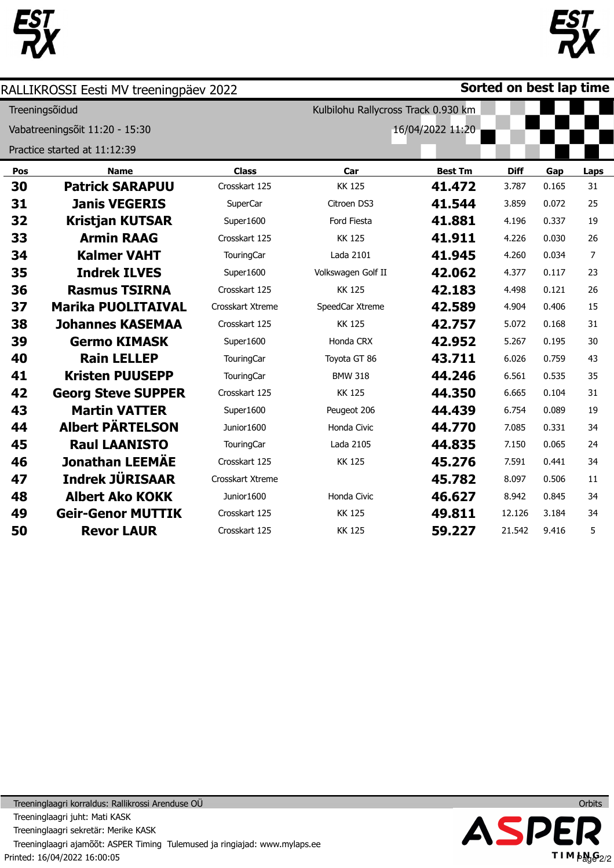



|     | RALLIKROSSI Eesti MV treeningpäev 2022 |                   |                                     |                  | Sorted on best lap time |       |      |
|-----|----------------------------------------|-------------------|-------------------------------------|------------------|-------------------------|-------|------|
|     | Treeningsõidud                         |                   | Kulbilohu Rallycross Track 0.930 km |                  |                         |       |      |
|     | Vabatreeningsõit 11:20 - 15:30         |                   |                                     | 16/04/2022 11:20 |                         |       |      |
|     | Practice started at 11:12:39           |                   |                                     |                  |                         |       |      |
| Pos | <b>Name</b>                            | <b>Class</b>      | Car                                 | <b>Best Tm</b>   | <b>Diff</b>             | Gap   | Laps |
| 30  | <b>Patrick SARAPUU</b>                 | Crosskart 125     | <b>KK 125</b>                       | 41.472           | 3.787                   | 0.165 | 31   |
| 31  | <b>Janis VEGERIS</b>                   | SuperCar          | Citroen DS3                         | 41.544           | 3.859                   | 0.072 | 25   |
| 32  | <b>Kristjan KUTSAR</b>                 | Super1600         | Ford Fiesta                         | 41.881           | 4.196                   | 0.337 | 19   |
| 33  | <b>Armin RAAG</b>                      | Crosskart 125     | <b>KK 125</b>                       | 41.911           | 4.226                   | 0.030 | 26   |
| 34  | <b>Kalmer VAHT</b>                     | <b>TouringCar</b> | Lada 2101                           | 41.945           | 4.260                   | 0.034 | 7    |
| 35  | <b>Indrek ILVES</b>                    | Super1600         | Volkswagen Golf II                  | 42.062           | 4.377                   | 0.117 | 23   |
| 36  | <b>Rasmus TSIRNA</b>                   | Crosskart 125     | <b>KK125</b>                        | 42.183           | 4.498                   | 0.121 | 26   |
| 37  | <b>Marika PUOLITAIVAL</b>              | Crosskart Xtreme  | SpeedCar Xtreme                     | 42.589           | 4.904                   | 0.406 | 15   |
| 38  | <b>Johannes KASEMAA</b>                | Crosskart 125     | <b>KK125</b>                        | 42.757           | 5.072                   | 0.168 | 31   |
| 39  | <b>Germo KIMASK</b>                    | Super1600         | Honda CRX                           | 42.952           | 5.267                   | 0.195 | 30   |
| 40  | <b>Rain LELLEP</b>                     | <b>TouringCar</b> | Toyota GT 86                        | 43.711           | 6.026                   | 0.759 | 43   |
| 41  | <b>Kristen PUUSEPP</b>                 | TouringCar        | <b>BMW 318</b>                      | 44.246           | 6.561                   | 0.535 | 35   |
| 42  | <b>Georg Steve SUPPER</b>              | Crosskart 125     | <b>KK125</b>                        | 44.350           | 6.665                   | 0.104 | 31   |
| 43  | <b>Martin VATTER</b>                   | Super1600         | Peugeot 206                         | 44.439           | 6.754                   | 0.089 | 19   |
| 44  | <b>Albert PÄRTELSON</b>                | Junior1600        | Honda Civic                         | 44.770           | 7.085                   | 0.331 | 34   |
| 45  | <b>Raul LAANISTO</b>                   | TouringCar        | Lada 2105                           | 44.835           | 7.150                   | 0.065 | 24   |
| 46  | <b>Jonathan LEEMÄE</b>                 | Crosskart 125     | <b>KK 125</b>                       | 45.276           | 7.591                   | 0.441 | 34   |
| 47  | <b>Indrek JÜRISAAR</b>                 | Crosskart Xtreme  |                                     | 45.782           | 8.097                   | 0.506 | 11   |
| 48  | <b>Albert Ako KOKK</b>                 | Junior1600        | Honda Civic                         | 46.627           | 8.942                   | 0.845 | 34   |
| 49  | <b>Geir-Genor MUTTIK</b>               | Crosskart 125     | <b>KK 125</b>                       | 49.811           | 12.126                  | 3.184 | 34   |
| 50  | <b>Revor LAUR</b>                      | Crosskart 125     | <b>KK 125</b>                       | 59.227           | 21.542                  | 9.416 | 5    |



Printed: 16/04/2022 16:00:05 Treeninglaagri korraldus: Rallikrossi Arenduse OÜ Treeninglaagri juht: Mati KASK Treeninglaagri sekretär: Merike KASK Treeninglaagri ajamõõt: ASPER Timing Tulemused ja ringiajad: www.mylaps.ee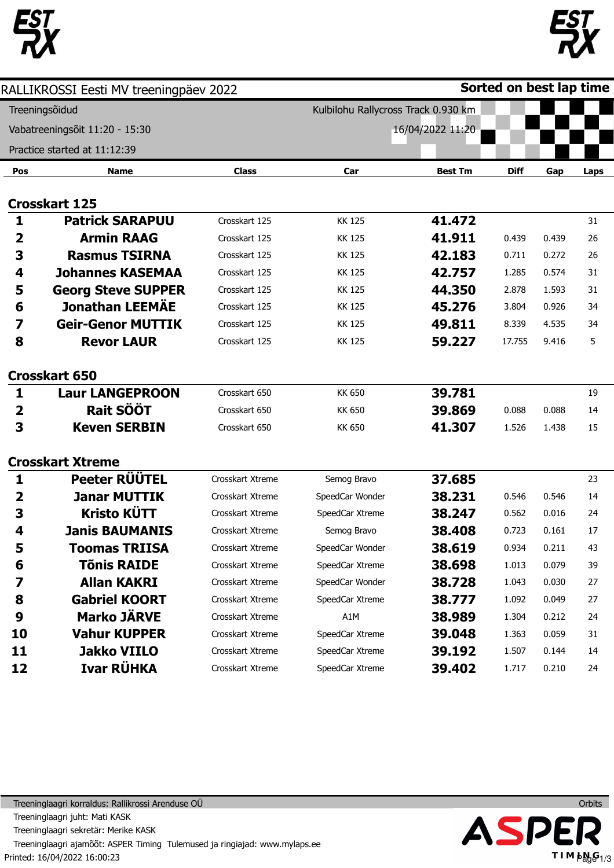



|                         | RALLIKROSSI Eesti MV treeningpäev 2022 |                  |                                     |                  | Sorted on best lap time |       |      |
|-------------------------|----------------------------------------|------------------|-------------------------------------|------------------|-------------------------|-------|------|
|                         | Treeningsõidud                         |                  | Kulbilohu Rallycross Track 0.930 km |                  |                         |       |      |
|                         | Vabatreeningsõit 11:20 - 15:30         |                  |                                     | 16/04/2022 11:20 |                         |       |      |
|                         | Practice started at 11:12:39           |                  |                                     |                  |                         |       |      |
| Pos                     | <b>Name</b>                            | <b>Class</b>     | Car                                 | <b>Best Tm</b>   | <b>Diff</b>             | Gap   | Laps |
|                         |                                        |                  |                                     |                  |                         |       |      |
|                         | <b>Crosskart 125</b>                   |                  |                                     |                  |                         |       |      |
| 1                       | <b>Patrick SARAPUU</b>                 | Crosskart 125    | <b>KK125</b>                        | 41.472           |                         |       | 31   |
| 2                       | <b>Armin RAAG</b>                      | Crosskart 125    | <b>KK125</b>                        | 41.911           | 0.439                   | 0.439 | 26   |
| 3                       | <b>Rasmus TSIRNA</b>                   | Crosskart 125    | <b>KK125</b>                        | 42.183           | 0.711                   | 0.272 | 26   |
| 4                       | <b>Johannes KASEMAA</b>                | Crosskart 125    | <b>KK125</b>                        | 42.757           | 1.285                   | 0.574 | 31   |
| 5                       | <b>Georg Steve SUPPER</b>              | Crosskart 125    | <b>KK125</b>                        | 44.350           | 2.878                   | 1.593 | 31   |
| 6                       | <b>Jonathan LEEMÄE</b>                 | Crosskart 125    | KK 125                              | 45.276           | 3.804                   | 0.926 | 34   |
| 7                       | <b>Geir-Genor MUTTIK</b>               | Crosskart 125    | <b>KK125</b>                        | 49.811           | 8.339                   | 4.535 | 34   |
| 8                       | <b>Revor LAUR</b>                      | Crosskart 125    | <b>KK125</b>                        | 59.227           | 17.755                  | 9.416 | 5    |
|                         |                                        |                  |                                     |                  |                         |       |      |
|                         | <b>Crosskart 650</b>                   |                  |                                     |                  |                         |       |      |
| 1                       | <b>Laur LANGEPROON</b>                 | Crosskart 650    | <b>KK 650</b>                       | 39.781           |                         |       | 19   |
| $\overline{\mathbf{2}}$ | <b>Rait SÖÖT</b>                       | Crosskart 650    | <b>KK 650</b>                       | 39.869           | 0.088                   | 0.088 | 14   |
| 3                       | <b>Keven SERBIN</b>                    | Crosskart 650    | <b>KK 650</b>                       | 41.307           | 1.526                   | 1.438 | 15   |
|                         |                                        |                  |                                     |                  |                         |       |      |
|                         | <b>Crosskart Xtreme</b>                |                  |                                     |                  |                         |       |      |
| 1                       | Peeter RÜÜTEL                          | Crosskart Xtreme | Semog Bravo                         | 37.685           |                         |       | 23   |
| 2                       | <b>Janar MUTTIK</b>                    | Crosskart Xtreme | SpeedCar Wonder                     | 38.231           | 0.546                   | 0.546 | 14   |
| 3                       | <b>Kristo KÜTT</b>                     | Crosskart Xtreme | SpeedCar Xtreme                     | 38.247           | 0.562                   | 0.016 | 24   |
| 4                       | <b>Janis BAUMANIS</b>                  | Crosskart Xtreme | Semog Bravo                         | 38.408           | 0.723                   | 0.161 | 17   |
| 5                       | Toomas TRIISA                          | Crosskart Xtreme | SpeedCar Wonder                     | 38.619           | 0.934                   | 0.211 | 43   |
| 6                       | <b>Tõnis RAIDE</b>                     | Crosskart Xtreme | SpeedCar Xtreme                     | 38.698           | 1.013                   | 0.079 | 39   |
| 7                       | <b>Allan KAKRI</b>                     | Crosskart Xtreme | SpeedCar Wonder                     | 38.728           | 1.043                   | 0.030 | 27   |
| 8                       | <b>Gabriel KOORT</b>                   | Crosskart Xtreme | SpeedCar Xtreme                     | 38.777           | 1.092                   | 0.049 | 27   |
| 9                       | <b>Marko JÄRVE</b>                     | Crosskart Xtreme | A1M                                 | 38.989           | 1.304                   | 0.212 | 24   |
| 10                      | <b>Vahur KUPPER</b>                    | Crosskart Xtreme | SpeedCar Xtreme                     | 39.048           | 1.363                   | 0.059 | 31   |
| 11                      | <b>Jakko VIILO</b>                     | Crosskart Xtreme | SpeedCar Xtreme                     | 39.192           | 1.507                   | 0.144 | 14   |
| 12                      | Ivar RÜHKA                             | Crosskart Xtreme | SpeedCar Xtreme                     | 39.402           | 1.717                   | 0.210 | 24   |



Printed: 16/04/2022 16:00:23 Treeninglaagri korraldus: Rallikrossi Arenduse OÜ Treeninglaagri juht: Mati KASK Treeninglaagri sekretär: Merike KASK Treeninglaagri ajamõõt: ASPER Timing Tulemused ja ringiajad: www.mylaps.ee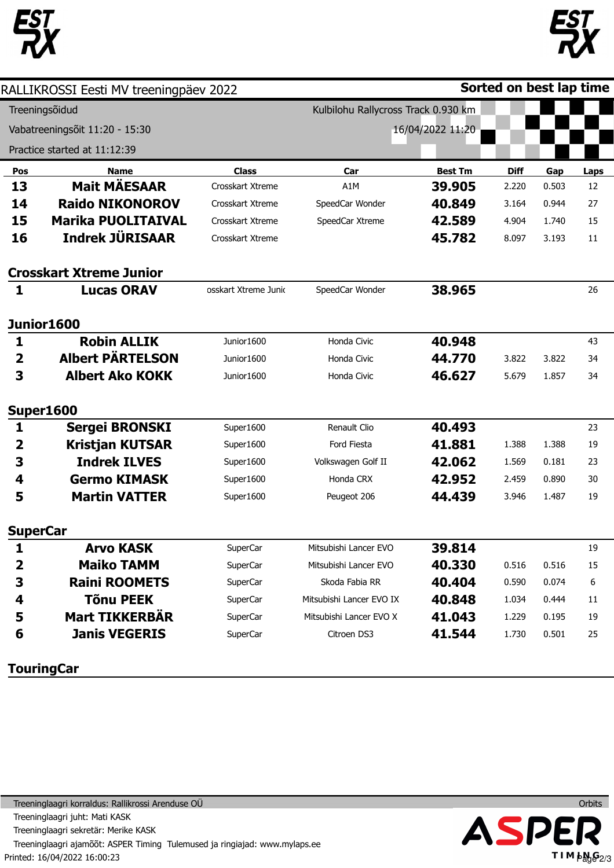



|                         | RALLIKROSSI Eesti MV treeningpäev 2022 |                                     |                          |                  | Sorted on best lap time |       |             |  |
|-------------------------|----------------------------------------|-------------------------------------|--------------------------|------------------|-------------------------|-------|-------------|--|
|                         | Treeningsõidud                         | Kulbilohu Rallycross Track 0.930 km |                          |                  |                         |       |             |  |
|                         | Vabatreeningsõit 11:20 - 15:30         |                                     |                          | 16/04/2022 11:20 |                         |       |             |  |
|                         | Practice started at 11:12:39           |                                     |                          |                  |                         |       |             |  |
| Pos                     | Name                                   | <b>Class</b>                        | Car                      | <b>Best Tm</b>   | <b>Diff</b>             | Gap   | <b>Laps</b> |  |
| 13                      | <b>Mait MÄESAAR</b>                    | Crosskart Xtreme                    | A1M                      | 39.905           | 2.220                   | 0.503 | 12          |  |
| 14                      | <b>Raido NIKONOROV</b>                 | Crosskart Xtreme                    | SpeedCar Wonder          | 40.849           | 3.164                   | 0.944 | 27          |  |
| 15                      | <b>Marika PUOLITAIVAL</b>              | Crosskart Xtreme                    | SpeedCar Xtreme          | 42.589           | 4.904                   | 1.740 | 15          |  |
| 16                      | <b>Indrek JÜRISAAR</b>                 | Crosskart Xtreme                    |                          | 45.782           | 8.097                   | 3.193 | 11          |  |
|                         | <b>Crosskart Xtreme Junior</b>         |                                     |                          |                  |                         |       |             |  |
| $\mathbf{1}$            | <b>Lucas ORAV</b>                      | osskart Xtreme Junio                | SpeedCar Wonder          | 38.965           |                         |       | 26          |  |
|                         | <b>Junior1600</b>                      |                                     |                          |                  |                         |       |             |  |
| 1                       | <b>Robin ALLIK</b>                     | Junior1600                          | Honda Civic              | 40.948           |                         |       | 43          |  |
| $\overline{\mathbf{2}}$ | <b>Albert PÄRTELSON</b>                | Junior1600                          | Honda Civic              | 44.770           | 3.822                   | 3.822 | 34          |  |
| 3                       | <b>Albert Ako KOKK</b>                 | Junior1600                          | Honda Civic              | 46.627           | 5.679                   | 1.857 | 34          |  |
|                         | <b>Super1600</b>                       |                                     |                          |                  |                         |       |             |  |
| 1                       | <b>Sergei BRONSKI</b>                  | Super1600                           | Renault Clio             | 40.493           |                         |       | 23          |  |
| 2                       | <b>Kristjan KUTSAR</b>                 | Super1600                           | Ford Fiesta              | 41.881           | 1.388                   | 1.388 | 19          |  |
| 3                       | <b>Indrek ILVES</b>                    | Super1600                           | Volkswagen Golf II       | 42.062           | 1.569                   | 0.181 | 23          |  |
| 4                       | <b>Germo KIMASK</b>                    | Super1600                           | Honda CRX                | 42.952           | 2.459                   | 0.890 | 30          |  |
| 5                       | <b>Martin VATTER</b>                   | Super1600                           | Peugeot 206              | 44.439           | 3.946                   | 1.487 | 19          |  |
| <b>SuperCar</b>         |                                        |                                     |                          |                  |                         |       |             |  |
| 1                       | <b>Arvo KASK</b>                       | SuperCar                            | Mitsubishi Lancer EVO    | 39.814           |                         |       | 19          |  |
| 2                       | <b>Maiko TAMM</b>                      | SuperCar                            | Mitsubishi Lancer EVO    | 40.330           | 0.516                   | 0.516 | 15          |  |
| 3                       | <b>Raini ROOMETS</b>                   | SuperCar                            | Skoda Fabia RR           | 40.404           | 0.590                   | 0.074 | 6           |  |
| 4                       | <b>Tõnu PEEK</b>                       | SuperCar                            | Mitsubishi Lancer EVO IX | 40.848           | 1.034                   | 0.444 | 11          |  |
| 5                       | <b>Mart TIKKERBÄR</b>                  | SuperCar                            | Mitsubishi Lancer EVO X  | 41.043           | 1.229                   | 0.195 | 19          |  |
| 6                       | <b>Janis VEGERIS</b>                   | <b>SuperCar</b>                     | Citroen DS3              | 41.544           | 1.730                   | 0.501 | 25          |  |
|                         |                                        |                                     |                          |                  |                         |       |             |  |

**TouringCar** 



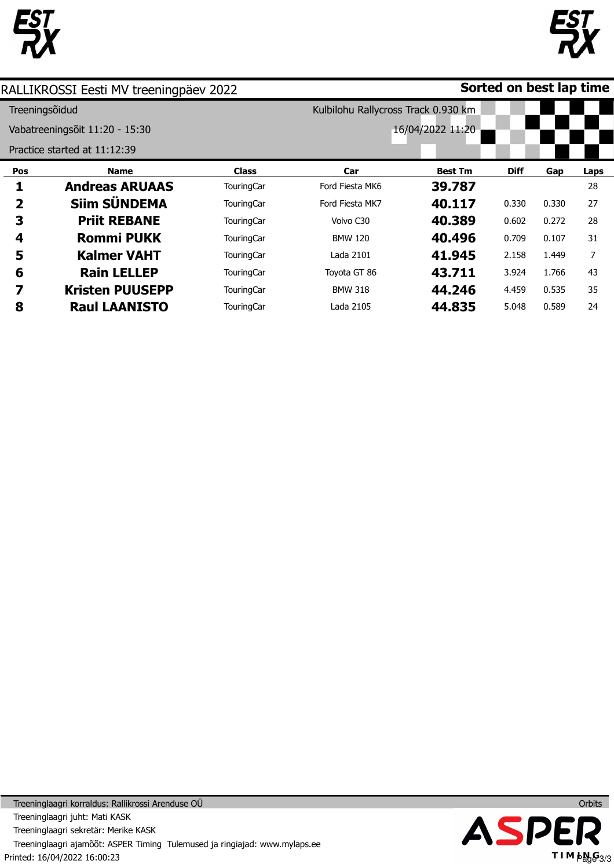



|                | RALLIKROSSI Eesti MV treeningpäev 2022 |                   |                                     |                  | Sorted on best lap time |       |      |  |  |  |
|----------------|----------------------------------------|-------------------|-------------------------------------|------------------|-------------------------|-------|------|--|--|--|
| Treeningsõidud |                                        |                   | Kulbilohu Rallycross Track 0.930 km |                  |                         |       |      |  |  |  |
|                | Vabatreeningsõit 11:20 - 15:30         |                   |                                     | 16/04/2022 11:20 |                         |       |      |  |  |  |
|                | Practice started at 11:12:39           |                   |                                     |                  |                         |       |      |  |  |  |
| Pos            | <b>Name</b>                            | <b>Class</b>      | Car                                 | <b>Best Tm</b>   | <b>Diff</b>             | Gap   | Laps |  |  |  |
|                | <b>Andreas ARUAAS</b>                  | <b>TouringCar</b> | Ford Fiesta MK6                     | 39.787           |                         |       | 28   |  |  |  |
| 2              | Siim SÜNDEMA                           | <b>TouringCar</b> | Ford Fiesta MK7                     | 40.117           | 0.330                   | 0.330 | 27   |  |  |  |
| 3              | <b>Priit REBANE</b>                    | <b>TouringCar</b> | Volvo C30                           | 40.389           | 0.602                   | 0.272 | 28   |  |  |  |
| 4              | <b>Rommi PUKK</b>                      | <b>TouringCar</b> | <b>BMW 120</b>                      | 40.496           | 0.709                   | 0.107 | 31   |  |  |  |
| 5              | <b>Kalmer VAHT</b>                     | <b>TouringCar</b> | Lada 2101                           | 41.945           | 2.158                   | 1.449 | 7    |  |  |  |
| 6              | <b>Rain LELLEP</b>                     | <b>TouringCar</b> | Toyota GT 86                        | 43.711           | 3.924                   | 1.766 | 43   |  |  |  |
| 7              | <b>Kristen PUUSEPP</b>                 | <b>TouringCar</b> | <b>BMW 318</b>                      | 44.246           | 4.459                   | 0.535 | 35   |  |  |  |
| 8              | <b>Raul LAANISTO</b>                   | TouringCar        | Lada 2105                           | 44.835           | 5.048                   | 0.589 | 24   |  |  |  |

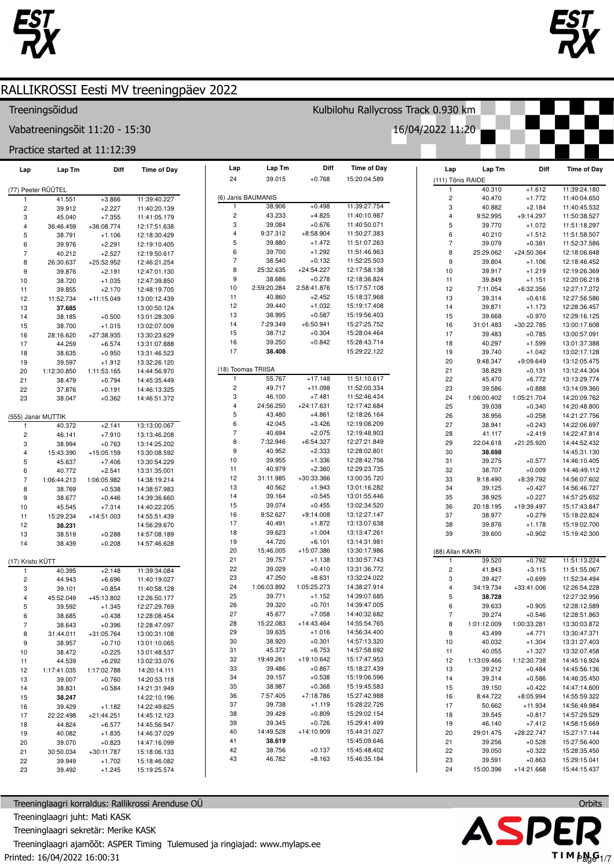



### Treeningsõidud

23

39.492

 $+1.245$ 

Vabatreeningsõit 11:20 - 15:30

### Practice started at 11:12:39

| Lap                     | Lap Tm             | Diff         | <b>Time of Day</b> | Lap            | Lap Tm             | Diff         | <b>Time of Day</b> | Lap                     | Lap Tm      | Diff         | <b>Time of Day</b>           |
|-------------------------|--------------------|--------------|--------------------|----------------|--------------------|--------------|--------------------|-------------------------|-------------|--------------|------------------------------|
|                         |                    |              |                    | 24             | 39.015             | $+0.768$     | 15:20:04.589       | (111) Tõnis RAIDE       |             |              |                              |
|                         | (77) Peeter RÜÜTEL |              |                    |                |                    |              |                    | $\mathbf{1}$            | 40.310      | $+1.612$     | 11:39:24.180                 |
|                         | 41.551             | $+3.866$     | 11:39:40.227       |                | (6) Janis BAUMANIS |              |                    | $\mathbf 2$             | 40.470      | $+1.772$     | 11:40:04.650                 |
| $\overline{c}$          | 39.912             | $+2.227$     | 11:40:20.139       | $\mathbf{1}$   | 38.906             | $+0.498$     | 11:39:27.754       | 3                       | 40.882      | $+2.184$     | 11:40:45.532                 |
| 3                       | 45.040             | $+7.355$     | 11:41:05.179       | $\overline{c}$ | 43.233             | $+4.825$     | 11:40:10.987       | 4<br>9:52.995           |             | $+9:14.297$  | 11:50:38.527                 |
| $\overline{\mathbf{4}}$ | 36:46.459          | +36:08.774   | 12:17:51.638       | 3              | 39.084             | $+0.676$     | 11:40:50.071       | 5                       | 39.770      | $+1.072$     | 11:51:18.297                 |
| 5                       | 38.791             | $+1.106$     | 12:18:30.429       | $\overline{4}$ | 9:37.312           | $+8:58.904$  | 11:50:27.383       | 6                       | 40.210      | $+1.512$     | 11:51:58.507                 |
| 6                       | 39.976             | $+2.291$     | 12:19:10.405       | $\mathbf 5$    | 39.880             | $+1.472$     | 11:51:07.263       | $\overline{7}$          | 39.079      | $+0.381$     | 11:52:37.586                 |
| $\overline{7}$          | 40.212             | $+2.527$     | 12:19:50.617       | 6              | 39.700             | $+1.292$     | 11:51:46.963       | 8<br>25:29.062          |             | +24:50.364   | 12:18:06.648                 |
| 8                       | 26:30.637          | $+25:52.952$ | 12:46:21.254       | $\overline{7}$ | 38.540             | $+0.132$     | 11:52:25.503       | 9                       | 39.804      | $+1.106$     | 12:18:46.452                 |
| 9                       | 39.876             | $+2.191$     | 12:47:01.130       | 8              | 25:32.635          | $+24:54.227$ | 12:17:58.138       | 10                      | 39.917      | $+1.219$     | 12:19:26.369                 |
| 10                      | 38.720             | $+1.035$     | 12:47:39.850       | 9              | 38.686             | $+0.278$     | 12:18:36.824       | 11                      | 39.849      | $+1.151$     | 12:20:06.218                 |
| 11                      | 39.855             | $+2.170$     | 12:48:19.705       | 10             | 2:59:20.284        | 2:58:41.876  | 15:17:57.108       | 12                      | 7:11.054    | $+6:32.356$  | 12:27:17.272                 |
| 12                      | 11:52.734          | $+11:15.049$ | 13:00:12.439       | 11             | 40.860             | $+2.452$     | 15:18:37.968       | 13                      | 39.314      | $+0.616$     | 12:27:56.586                 |
| 13                      | 37.685             |              | 13:00:50.124       | 12             | 39.440             | $+1.032$     | 15:19:17.408       | 14                      | 39.871      | $+1.173$     | 12:28:36.457                 |
| 14                      | 38.185             | $+0.500$     | 13:01:28.309       | 13             | 38.995             | $+0.587$     | 15:19:56.403       | 15                      | 39.668      | $+0.970$     | 12:29:16.125                 |
| 15                      | 38.700             | $+1.015$     | 13:02:07.009       | 14             | 7:29.349           | $+6:50.941$  | 15:27:25.752       | 16<br>31:01.483         |             | +30:22.785   | 13:00:17.608                 |
| 16                      | 28:16.620          | +27:38.935   | 13:30:23.629       | 15             | 38.712             | $+0.304$     | 15:28:04.464       | 17                      | 39.483      | $+0.785$     | 13:00:57.091                 |
| 17                      | 44.259             | $+6.574$     | 13:31:07.888       | 16             | 39.250             | $+0.842$     | 15:28:43.714       | 18                      | 40.297      | $+1.599$     | 13:01:37.388                 |
| 18                      | 38.635             | $+0.950$     | 13:31:46.523       | 17             | 38.408             |              | 15:29:22.122       | 19                      | 39.740      | $+1.042$     | 13:02:17.128                 |
| 19                      | 39.597             | $+1.912$     | 13:32:26.120       |                |                    |              |                    | 20<br>9:48.347          |             | $+9:09.649$  | 13:12:05.475                 |
| 20                      | 1:12:30.850        | 1:11:53.165  | 14:44:56.970       |                | (18) Toomas TRIISA |              |                    | 21                      | 38.829      | $+0.131$     | 13:12:44.304                 |
| 21                      | 38.479             | $+0.794$     | 14:45:35.449       | $\mathbf{1}$   | 55.767             | $+17.148$    | 11:51:10.617       | 22                      | 45.470      | $+6.772$     | 13:13:29.774                 |
| 22                      | 37.876             | $+0.191$     | 14:46:13.325       | $\overline{c}$ | 49.717             | $+11.098$    | 11:52:00.334       | 23                      | 39.586      | $+0.888$     | 13:14:09.360                 |
| 23                      | 38.047             | $+0.362$     | 14:46:51.372       | 3              | 46.100             | $+7.481$     | 11:52:46.434       | 24<br>1:06:00.402       | 1:05:21.704 |              | 14:20:09.762                 |
|                         |                    |              |                    | $\overline{4}$ | 24:56.250          | $+24:17.631$ | 12:17:42.684       | 25                      | 39.038      | $+0.340$     | 14:20:48.800                 |
|                         | (555) Janar MUTTIK |              |                    | $\mathbf 5$    | 43.480             | $+4.861$     | 12:18:26.164       | 26                      | 38.956      | $+0.258$     | 14:21:27.756                 |
| 1                       | 40.372             | $+2.141$     | 13:13:00.067       | $\,6\,$        | 42.045             | $+3.426$     | 12:19:08.209       | 27                      | 38.941      | $+0.243$     | 14:22:06.697                 |
| $\overline{c}$          | 46.141             | $+7.910$     |                    | $\overline{7}$ | 40.694             | $+2.075$     | 12:19:48.903       | 28                      | 41.117      | $+2.419$     | 14:22:47.814                 |
|                         |                    |              | 13:13:46.208       | $\bf8$         | 7:32.946           | $+6:54.327$  | 12:27:21.849       | 29<br>22:04.618         |             | $+21:25.920$ | 14:44:52.432                 |
| 3                       | 38.994             | $+0.763$     | 13:14:25.202       | 9              | 40.952             | $+2.333$     | 12:28:02.801       | 30                      | 38.698      |              | 14:45:31.130                 |
| 4                       | 15:43.390          | $+15:05.159$ | 13:30:08.592       | $10$           | 39.955             | $+1.336$     | 12:28:42.756       | 31                      | 39.275      | $+0.577$     | 14:46:10.405                 |
| 5                       | 45.637             | $+7.406$     | 13:30:54.229       | 11             | 40.979             | $+2.360$     | 12:29:23.735       | 32                      | 38.707      | $+0.009$     |                              |
| 6                       | 40.772             | $+2.541$     | 13:31:35.001       | 12             | 31:11.985          | +30:33.366   | 13:00:35.720       | 33<br>9:18.490          |             | +8:39.792    | 14:46:49.112<br>14:56:07.602 |
| $\overline{7}$          | 1:06:44.213        | 1:06:05.982  | 14:38:19.214       | 13             | 40.562             | $+1.943$     | 13:01:16.282       | 34                      | 39.125      | $+0.427$     |                              |
| 8                       | 38.769             | $+0.538$     | 14:38:57.983       | 14             | 39.164             | $+0.545$     | 13:01:55.446       |                         |             |              | 14:56:46.727                 |
| 9                       | 38.677             | $+0.446$     | 14:39:36.660       | 15             | 39.074             | $+0.455$     | 13:02:34.520       | 35                      | 38.925      | $+0.227$     | 14:57:25.652                 |
| 10                      | 45.545             | $+7.314$     | 14:40:22.205       | 16             | 9:52.627           | $+9:14.008$  | 13:12:27.147       | 36<br>20:18.195         |             | +19:39.497   | 15:17:43.847                 |
| 11                      | 15:29.234          | $+14:51.003$ | 14:55:51.439       | 17             | 40.491             | $+1.872$     | 13:13:07.638       | 37                      | 38.977      | $+0.279$     | 15:18:22.824                 |
| 12                      | 38.231             |              | 14:56:29.670       | 18             | 39.623             | $+1.004$     | 13:13:47.261       | 38                      | 39.876      | $+1.178$     | 15:19:02.700                 |
| 13                      | 38.519             | $+0.288$     | 14:57:08.189       | 19             | 44.720             | $+6.101$     | 13:14:31.981       | 39                      | 39.600      | $+0.902$     | 15:19:42.300                 |
| 14                      | 38.439             | $+0.208$     | 14:57:46.628       | 20             | 15:46.005          | +15:07.386   | 13:30:17.986       |                         |             |              |                              |
|                         |                    |              |                    |                |                    |              |                    | (88) Allan KAKRI        |             |              |                              |
| (17) Kristo KÜTT        |                    |              |                    | 21             | 39.757             | $+1.138$     | 13:30:57.743       | $\mathbf{1}$            | 39.520      | $+0.792$     | 11:51:13.224                 |
| 1                       | 40.395             | $+2.148$     | 11:39:34.084       | 22             | 39.029             | $+0.410$     | 13:31:36.772       | $\overline{\mathbf{c}}$ | 41.843      | $+3.115$     | 11:51:55.067                 |
| $\overline{\mathbf{c}}$ | 44.943             | $+6.696$     | 11:40:19.027       | 23             | 47.250             | $+8.631$     | 13:32:24.022       | 3                       | 39.427      | $+0.699$     | 11:52:34.494                 |
| 3                       | 39.101             | $+0.854$     | 11:40:58.128       | 24             | 1:06:03.892        | 1:05:25.273  | 14:38:27.914       | 4<br>34:19.734          |             | +33:41.006   | 12:26:54.228                 |
| 4                       | 45:52.049          | +45:13.802   | 12:26:50.177       | 25             | 39.771             | $+1.152$     | 14:39:07.685       | 5                       | 38.728      |              | 12:27:32.956                 |
| 5                       | 39.592             | $+1.345$     | 12:27:29.769       | 26             | 39.320             | $+0.701$     | 14:39:47.005       | 6                       | 39.633      | $+0.905$     | 12:28:12.589                 |
| 6                       | 38.685             | $+0.438$     | 12:28:08.454       | 27             | 45.677             | $+7.058$     | 14:40:32.682       | $\overline{7}$          | 39.274      | $+0.546$     | 12:28:51.863                 |
| $\overline{7}$          | 38.643             | $+0.396$     | 12:28:47.097       | 28             | 15:22.083          | $+14:43.464$ | 14:55:54.765       | 8<br>1:01:12.009        | 1:00:33.281 |              | 13:30:03.872                 |
| 8                       | 31:44.011          | +31:05.764   | 13:00:31.108       | 29             | 39.635             | $+1.016$     | 14:56:34.400       | 9                       | 43.499      | $+4.771$     | 13:30:47.371                 |
| 9                       | 38.957             | $+0.710$     | 13:01:10.065       | 30             | 38.920             | $+0.301$     | 14:57:13.320       | 10                      | 40.032      | $+1.304$     | 13:31:27.403                 |
| 10                      | 38.472             | $+0.225$     | 13:01:48.537       | 31             | 45.372             | $+6.753$     | 14:57:58.692       | 11                      | 40.055      | $+1.327$     | 13:32:07.458                 |
| 11                      | 44.539             | $+6.292$     | 13:02:33.076       | 32             | 19:49.261          | +19:10.642   | 15:17:47.953       | 12<br>1:13:09.466       | 1:12:30.738 |              | 14:45:16.924                 |
| 12                      | 1:17:41.035        | 1:17:02.788  | 14:20:14.111       | 33             | 39.486             | $+0.867$     | 15:18:27.439       | 13                      | 39.212      | $+0.484$     | 14:45:56.136                 |
| 13                      | 39.007             | $+0.760$     | 14:20:53.118       | 34             | 39.157             | $+0.538$     | 15:19:06.596       | 14                      | 39.314      | $+0.586$     | 14:46:35.450                 |
| 14                      | 38.831             | $+0.584$     | 14:21:31.949       | 35             | 38.987             | $+0.368$     | 15:19:45.583       | 15                      | 39.150      | $+0.422$     | 14:47:14.600                 |
| 15                      | 38.247             |              | 14:22:10.196       | 36             | 7:57.405           | +7:18.786    | 15:27:42.988       | 16                      | 8:44.722    | $+8:05.994$  | 14:55:59.322                 |
| 16                      | 39.429             | $+1.182$     | 14:22:49.625       | 37             | 39.738             | $+1.119$     | 15:28:22.726       | 17                      | 50.662      | $+11.934$    | 14:56:49.984                 |
| 17                      | 22:22.498          | $+21:44.251$ | 14:45:12.123       | 38             | 39.428             | $+0.809$     | 15:29:02.154       | 18                      | 39.545      | $+0.817$     | 14:57:29.529                 |
| 18                      | 44.824             | $+6.577$     | 14:45:56.947       | 39             | 39.345             | $+0.726$     | 15:29:41.499       | 19                      | 46.140      | $+7.412$     | 14:58:15.669                 |
| 19                      | 40.082             | $+1.835$     | 14:46:37.029       | 40             | 14:49.528          | +14:10.909   | 15:44:31.027       | 20<br>29:01.475         |             | +28:22.747   | 15:27:17.144                 |
| 20                      | 39.070             | $+0.823$     | 14:47:16.099       | 41             | 38.619             |              | 15:45:09.646       | 21                      | 39.256      | $+0.528$     | 15:27:56.400                 |
| 21                      | 30:50.034          | +30:11.787   | 15:18:06.133       | 42             | 38.756             | $+0.137$     | 15:45:48.402       | 22                      | 39.050      | $+0.322$     | 15:28:35.450                 |
| 22                      | 39.949             | $+1.702$     | 15:18:46.082       | 43             | 46.782             | $+8.163$     | 15:46:35.184       | 23                      | 39.591      | $+0.863$     | 15:29:15.041                 |
| 23                      | 39.492             | $+1.245$     | 15:19:25.574       |                |                    |              |                    | 24<br>15:00.396         |             | +14:21.668   | 15:44:15.437                 |
|                         |                    |              |                    |                |                    |              |                    |                         |             |              |                              |

Kulbilohu Rallycross Track 0.930 km

16/04/2022 11:20

Treeninglaagri korraldus: Rallikrossi Arenduse OÜ Treeninglaagri juht: Mati KASK Treeninglaagri sekretär: Merike KASK Treeninglaagri ajamõõt: ASPER Timing Tulemused ja ringiajad: www.mylaps.ee Printed: 16/04/2022 16:00:31

 $\mathsf{l}$ 

15:19:25.574



+14:21.668

15:00.396

Orbits

15:44:15.437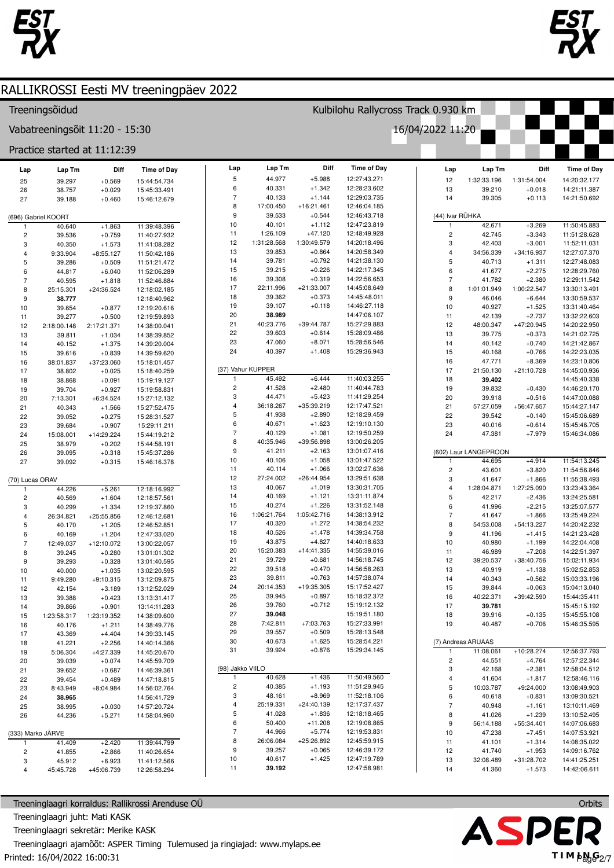



## Treeningsõidud

Vabatreeningsõit 11:20 - 15:30

Practice started at 11:12:39

| Lap               | Lap Tm              | Diff                 | <b>Time of Day</b>           | Lap               | Lap Tm           |  |
|-------------------|---------------------|----------------------|------------------------------|-------------------|------------------|--|
| 25                | 39.297              | $+0.569$             | 15:44:54.734                 | 5                 | 44.977           |  |
| 26                | 38.757              | $+0.029$             | 15:45:33.491                 | 6                 | 40.331           |  |
| 27                | 39.188              | $+0.460$             | 15:46:12.679                 | 7                 | 40.133           |  |
|                   |                     |                      |                              | 8                 | 17:00.450        |  |
|                   | (696) Gabriel KOORT |                      |                              | 9                 | 39.533           |  |
| 1                 | 40.640              | $+1.863$             | 11:39:48.396                 | 10                | 40.101           |  |
| 2                 | 39.536              | $+0.759$             | 11:40:27.932                 | 11                | 1:26.109         |  |
| 3                 | 40.350              | $+1.573$             | 11:41:08.282                 | 12                | 1:31:28.568      |  |
| 4                 | 9:33.904            | $+8:55.127$          | 11:50:42.186                 | 13                | 39.853           |  |
| 5                 | 39.286              | $+0.509$             | 11:51:21.472                 | 14                | 39.781           |  |
| 6                 | 44.817              | $+6.040$             | 11:52:06.289                 | 15                | 39.215           |  |
| $\overline{7}$    | 40.595              | $+1.818$             | 11:52:46.884                 | 16                | 39.308           |  |
| 8                 | 25:15.301           | +24:36.524           | 12:18:02.185                 | 17                | 22:11.996        |  |
| 9                 | 38.777              |                      | 12:18:40.962                 | 18                | 39.362           |  |
| 10                | 39.654              | $+0.877$             | 12:19:20.616                 | 19                | 39.107           |  |
| 11                | 39.277              | $+0.500$             | 12:19:59.893                 | 20                | 38.989           |  |
| 12                | 2:18:00.148         | 2:17:21.371          | 14:38:00.041                 | 21                | 40:23.776        |  |
| 13                | 39.811              | $+1.034$             | 14:38:39.852                 | 22                | 39.603           |  |
| 14                | 40.152              | $+1.375$             | 14:39:20.004                 | 23                | 47.060           |  |
| 15                | 39.616              | $+0.839$             | 14:39:59.620                 | 24                | 40.397           |  |
| 16                | 38:01.837           | +37:23.060           | 15:18:01.457                 |                   |                  |  |
| 17                | 38.802              | $+0.025$             | 15:18:40.259                 | (37) Vahur KUPPER |                  |  |
| 18                | 38.868              | $+0.091$             | 15:19:19.127                 | 1                 | 45.492           |  |
| 19                | 39.704              | $+0.927$             | 15:19:58.831                 | 2                 | 41.528           |  |
| 20                | 7:13.301            | $+6:34.524$          | 15:27:12.132                 | 3                 | 44.471           |  |
| 21                | 40.343              | $+1.566$             | 15:27:52.475                 | 4                 | 36:18.267        |  |
| 22                | 39.052              | $+0.275$             | 15:28:31.527                 | 5                 | 41.938           |  |
| 23                | 39.684              | $+0.907$             | 15:29:11.211                 | 6                 | 40.671           |  |
| 24                | 15:08.001           | +14:29.224           | 15:44:19.212                 | 7                 | 40.129           |  |
| 25                | 38.979              | $+0.202$             | 15:44:58.191                 | 8                 | 40:35.946        |  |
| 26                | 39.095              | $+0.318$             | 15:45:37.286                 | 9                 | 41.211           |  |
| 27                | 39.092              | $+0.315$             | 15:46:16.378                 | 10<br>11          | 40.106<br>40.114 |  |
|                   |                     |                      |                              | 12                | 27:24.002        |  |
| (70) Lucas ORAV   |                     |                      |                              | 13                | 40.067           |  |
| 1                 | 44.226              | $+5.261$             | 12:18:16.992                 | 14                | 40.169           |  |
| 2                 | 40.569              | $+1.604$             | 12:18:57.561                 | 15                | 40.274           |  |
| 3                 | 40.299              | $+1.334$             | 12:19:37.860                 | 16                | 1:06:21.764      |  |
| 4                 | 26:34.821           | +25:55.856           | 12:46:12.681                 | 17                | 40.320           |  |
| 5<br>6            | 40.170              | $+1.205$<br>$+1.204$ | 12:46:52.851<br>12:47:33.020 | 18                | 40.526           |  |
| $\overline{7}$    | 40.169<br>12:49.037 | +12:10.072           | 13:00:22.057                 | 19                | 43.875           |  |
| 8                 | 39.245              | $+0.280$             | 13:01:01.302                 | 20                | 15:20.383        |  |
| 9                 | 39.293              | $+0.328$             | 13:01:40.595                 | 21                | 39.729           |  |
| 10                | 40.000              | $+1.035$             | 13:02:20.595                 | 22                | 39.518           |  |
| 11                | 9:49.280            | $+9:10.315$          | 13:12:09.875                 | 23                | 39.811           |  |
| 12                | 42.154              | $+3.189$             | 13:12:52.029                 | 24                | 20:14.353        |  |
| 13                | 39.388              | $+0.423$             | 13:13:31.417                 | 25                | 39.945           |  |
| 14                | 39.866              | $+0.901$             | 13:14:11.283                 | 26                | 39.760           |  |
| 15                | 1:23:58.317         | 1:23:19.352          | 14:38:09.600                 | 27                | 39.048           |  |
| 16                | 40.176              | $+1.211$             | 14:38:49.776                 | 28                | 7:42.811         |  |
| 17                | 43.369              | $+4.404$             | 14:39:33.145                 | 29                | 39.557           |  |
| 18                | 41.221              | $+2.256$             | 14:40:14.366                 | 30                | 40.673           |  |
| 19                | 5:06.304            | $+4:27.339$          | 14:45:20.670                 | 31                | 39.924           |  |
| 20                | 39.039              | $+0.074$             | 14:45:59.709                 |                   |                  |  |
| 21                | 39.652              | $+0.687$             | 14:46:39.361                 | (98) Jakko VIILO  |                  |  |
| 22                | 39.454              | $+0.489$             | 14:47:18.815                 | 1                 | 40.628           |  |
| 23                | 8:43.949            | $+8:04.984$          | 14:56:02.764                 | 2                 | 40.385           |  |
| 24                | 38.965              |                      | 14:56:41.729                 | 3                 | 48.161           |  |
| 25                | 38.995              | $+0.030$             | 14:57:20.724                 | 4                 | 25:19.331        |  |
| 26                | 44.236              | $+5.271$             | 14:58:04.960                 | 5                 | 41.028           |  |
|                   |                     |                      |                              | 6                 | 50.400           |  |
| (333) Marko JÄRVE |                     |                      |                              | 7                 | 44.966           |  |
| 1                 | 41.409              | $+2.420$             | 11:39:44.799                 | 8                 | 26:06.084        |  |
| 2                 | 41.855              | $+2.866$             | 11:40:26.654                 | 9                 | 39.257           |  |
| 3                 | 45.912              | $+6.923$             | 11:41:12.566                 | 10                | 40.617           |  |
| 4                 | 45:45.728           | +45:06.739           | 12:26:58.294                 | 11                | 39.192           |  |
|                   |                     |                      |                              |                   |                  |  |

Treeninglaagri korraldus: Rallikrossi Arenduse OÜ Treeninglaagri juht: Mati KASK Treeninglaagri sekretär: Merike KASK Treeninglaagri ajamõõt: ASPER Timing Tulemused ja ringiajad: www.mylaps.ee Printed: 16/04/2022 16:00:31

| Lap                    | Lap Tm      | Diff         | <b>Time of Day</b> |
|------------------------|-------------|--------------|--------------------|
| 5                      | 44.977      | $+5.988$     | 12:27:43.271       |
| 6                      | 40.331      | $+1.342$     | 12:28:23.602       |
| 7                      | 40.133      | $+1.144$     | 12:29:03.735       |
| 8                      | 17:00.450   | $+16:21.461$ | 12:46:04.185       |
| 9                      | 39.533      | $+0.544$     | 12:46:43.718       |
| 10                     | 40.101      | $+1.112$     | 12:47:23.819       |
| 11                     | 1:26.109    | $+47.120$    | 12:48:49.928       |
| 12                     | 1:31:28.568 | 1:30:49.579  | 14:20:18.496       |
| 13                     | 39.853      | $+0.864$     | 14:20:58.349       |
| 14                     | 39.781      | $+0.792$     | 14:21:38.130       |
| 15                     | 39.215      | $+0.226$     | 14:22:17.345       |
| 16                     | 39.308      | $+0.319$     | 14:22:56.653       |
| 17                     | 22:11.996   | $+21:33.007$ | 14:45:08.649       |
| 18                     | 39.362      | $+0.373$     | 14:45:48.011       |
| 19                     | 39.107      | $+0.118$     | 14:46:27.118       |
| 20                     | 38.989      |              | 14:47:06.107       |
| 21                     | 40:23.776   | +39:44.787   | 15:27:29.883       |
| 22                     | 39.603      | $+0.614$     | 15:28:09.486       |
| 23                     | 47.060      | $+8.071$     | 15:28:56.546       |
| 24                     | 40.397      | $+1.408$     | 15:29:36.943       |
|                        |             |              |                    |
| (37) Vahur KUPPER<br>1 | 45.492      | $+6.444$     | 11:40:03.255       |
| 2                      | 41.528      | $+2.480$     | 11:40:44.783       |
| 3                      | 44.471      | $+5.423$     | 11:41:29.254       |
| 4                      | 36:18.267   | +35:39.219   | 12:17:47.521       |
| 5                      | 41.938      | $+2.890$     | 12:18:29.459       |
| 6                      | 40.671      | $+1.623$     | 12:19:10.130       |
| 7                      | 40.129      | $+1.081$     | 12:19:50.259       |
| 8                      | 40:35.946   | +39:56.898   | 13:00:26.205       |
| 9                      | 41.211      | $+2.163$     | 13:01:07.416       |
| 10                     | 40.106      | $+1.058$     | 13:01:47.522       |
| 11                     | 40.114      | $+1.066$     | 13:02:27.636       |
| 12                     | 27:24.002   | +26:44.954   | 13:29:51.638       |
| 13                     | 40.067      | $+1.019$     | 13:30:31.705       |
| 14                     | 40.169      | $+1.121$     | 13:31:11.874       |
| 15                     | 40.274      | $+1.226$     | 13:31:52.148       |
| 16                     | 1:06:21.764 | 1:05:42.716  | 14:38:13.912       |
| 17                     | 40.320      | $+1.272$     | 14:38:54.232       |
| 18                     | 40.526      | $+1.478$     | 14:39:34.758       |
| 19                     | 43.875      | $+4.827$     | 14:40:18.633       |
| 20                     | 15:20.383   | +14:41.335   | 14:55:39.016       |
| 21                     | 39.729      | $+0.681$     | 14:56:18.745       |
| 22                     | 39.518      | $+0.470$     | 14:56:58.263       |
| 23                     | 39.811      | $+0.763$     | 14:57:38.074       |
| 24                     | 20:14.353   | +19:35.305   | 15:17:52.427       |
| 25                     | 39.945      | $+0.897$     | 15:18:32.372       |
| 26                     | 39.760      | $+0.712$     | 15:19:12.132       |
| 27                     | 39.048      |              | 15:19:51.180       |
| 28                     | 7:42.811    | $+7:03.763$  | 15:27:33.991       |
| 29                     | 39.557      | $+0.509$     | 15:28:13.548       |
| 30                     | 40.673      | $+1.625$     | 15:28:54.221       |
| 31                     | 39.924      | $+0.876$     | 15:29:34.145       |
| (98) Jakko VIILO       |             |              |                    |
| 1                      | 40.628      | $+1.436$     | 11:50:49.560       |
| 2                      | 40.385      | $+1.193$     | 11:51:29.945       |
| 3                      | 48.161      | $+8.969$     | 11:52:18.106       |
| 4                      | 25:19.331   | $+24:40.139$ | 12:17:37.437       |
| 5                      | 41.028      | $+1.836$     | 12:18:18.465       |
| 6                      | 50.400      | $+11.208$    | 12:19:08.865       |
| 7                      | 44.966      | $+5.774$     | 12:19:53.831       |
| 8                      | 26:06.084   | +25:26.892   | 12:45:59.915       |
| 9                      | 39.257      | $+0.065$     | 12:46:39.172       |
| 10                     | 40.617      | $+1.425$     | 12:47:19.789       |
| 11                     | 39 192      |              | 12.47.58981        |

Kulbilohu Rallycross Track 0.930 km

16/04/2022 11:20

| Lap             | Lap Tm                | Diff                   | <b>Time of Day</b>           |  |  |  |
|-----------------|-----------------------|------------------------|------------------------------|--|--|--|
| 12              | 1:32:33.196           | 1:31:54.004            | 14:20:32.177                 |  |  |  |
| 13              | 39.210                | $+0.018$               | 14:21:11.387                 |  |  |  |
| 14              | 39.305                | $+0.113$               | 14:21:50.692                 |  |  |  |
| (44) Ivar RÜHKA |                       |                        |                              |  |  |  |
| 1               | 42.671                | $+3.269$               | 11:50:45.883                 |  |  |  |
| 2               | 42.745                | $+3.343$               | 11:51:28.628                 |  |  |  |
| 3               | 42.403                | $+3.001$               | 11:52:11.031                 |  |  |  |
| 4               | 34:56.339             | +34:16.937             | 12:27:07.370                 |  |  |  |
| 5               | 40.713<br>41.677      | $+1.311$<br>$+2.275$   | 12:27:48.083<br>12:28:29.760 |  |  |  |
| 6<br>7          | 41.782                | $+2.380$               | 12:29:11.542                 |  |  |  |
| 8               | 1:01:01.949           | 1:00:22.547            | 13:30:13.491                 |  |  |  |
| 9               | 46.046                | $+6.644$               | 13:30:59.537                 |  |  |  |
| 10              | 40.927                | $+1.525$               | 13:31:40.464                 |  |  |  |
| 11              | 42.139                | $+2.737$               | 13:32:22.603                 |  |  |  |
| 12              | 48:00.347             | +47:20.945             | 14:20:22.950                 |  |  |  |
| 13              | 39.775                | $+0.373$               | 14:21:02.725                 |  |  |  |
| 14              | 40.142                | $+0.740$               | 14:21:42.867                 |  |  |  |
| 15              | 40.168                | $+0.766$               | 14:22:23.035                 |  |  |  |
| 16<br>17        | 47.771                | $+8.369$<br>+21:10.728 | 14:23:10.806                 |  |  |  |
| 18              | 21:50.130<br>39.402   |                        | 14:45:00.936<br>14:45:40.338 |  |  |  |
| 19              | 39.832                | $+0.430$               | 14:46:20.170                 |  |  |  |
| 20              | 39.918                | $+0.516$               | 14:47:00.088                 |  |  |  |
| 21              | 57:27.059             | +56:47.657             | 15:44:27.147                 |  |  |  |
| 22              | 39.542                | $+0.140$               | 15:45:06.689                 |  |  |  |
| 23              | 40.016                | $+0.614$               | 15:45:46.705                 |  |  |  |
| 24              | 47.381                | $+7.979$               | 15:46:34.086                 |  |  |  |
|                 |                       |                        |                              |  |  |  |
|                 | (602) Laur LANGEPROON |                        |                              |  |  |  |
| 1<br>2          | 44.695<br>43.601      | $+4.914$<br>$+3.820$   | 11:54:13.245<br>11:54:56.846 |  |  |  |
| 3               | 41.647                | $+1.866$               | 11:55:38.493                 |  |  |  |
| 4               | 1:28:04.871           | 1:27:25.090            | 13:23:43.364                 |  |  |  |
| 5               | 42.217                | $+2.436$               | 13:24:25.581                 |  |  |  |
| 6               | 41.996                | $+2.215$               | 13:25:07.577                 |  |  |  |
| 7               | 41.647                | $+1.866$               | 13:25:49.224                 |  |  |  |
| 8               | 54:53.008             | +54:13.227             | 14:20:42.232                 |  |  |  |
| 9               | 41.196                | $+1.415$               | 14:21:23.428                 |  |  |  |
| 10              | 40.980                | $+1.199$               | 14:22:04.408                 |  |  |  |
| 11              | 46.989                | $+7.208$               | 14:22:51.397                 |  |  |  |
| 12<br>13        | 39:20.537<br>40.919   | +38:40.756<br>$+1.138$ | 15:02:11.934<br>15:02:52.853 |  |  |  |
| 14              | 40.343                | $+0.562$               | 15:03:33.196                 |  |  |  |
| 15              | 39.844                | $+0.063$               | 15:04:13.040                 |  |  |  |
| 16              | 40:22.371             | +39:42.590             | 15:44:35.411                 |  |  |  |
| 17              | 39.781                |                        | 15:45:15.192                 |  |  |  |
| 18              | 39.916                | $+0.135$               | 15:45:55.108                 |  |  |  |
| 19              | 40.487                | $+0.706$               | 15:46:35.595                 |  |  |  |
|                 | (7) Andreas ARUAAS    |                        |                              |  |  |  |
| 1               | 11:08.061             | +10:28.274             | 12:56:37.793                 |  |  |  |
| 2               | 44.551                | $+4.764$               | 12:57:22.344                 |  |  |  |
| 3               | 42.168                | $+2.381$               | 12:58:04.512                 |  |  |  |
| 4               | 41.604                | $+1.817$               | 12:58:46.116                 |  |  |  |
| 5               | 10:03.787             | $+9:24.000$            | 13:08:49.903                 |  |  |  |
| 6               | 40.618                | $+0.831$               | 13:09:30.521                 |  |  |  |
| 7               | 40.948                | $+1.161$               | 13:10:11.469                 |  |  |  |
| 8               | 41.026                | $+1.239$               | 13:10:52.495                 |  |  |  |
| 9<br>10         | 56:14.188             | +55:34.401             | 14:07:06.683                 |  |  |  |
| 11              | 47.238<br>41.101      | $+7.451$<br>$+1.314$   | 14:07:53.921<br>14:08:35.022 |  |  |  |
| 12              | 41.740                | $+1.953$               | 14:09:16.762                 |  |  |  |
| 13              | 32:08.489             | +31:28.702             | 14:41:25.251                 |  |  |  |
| 1 <sub>A</sub>  | 41.360                | .1572                  | 14.42.06611                  |  |  |  |

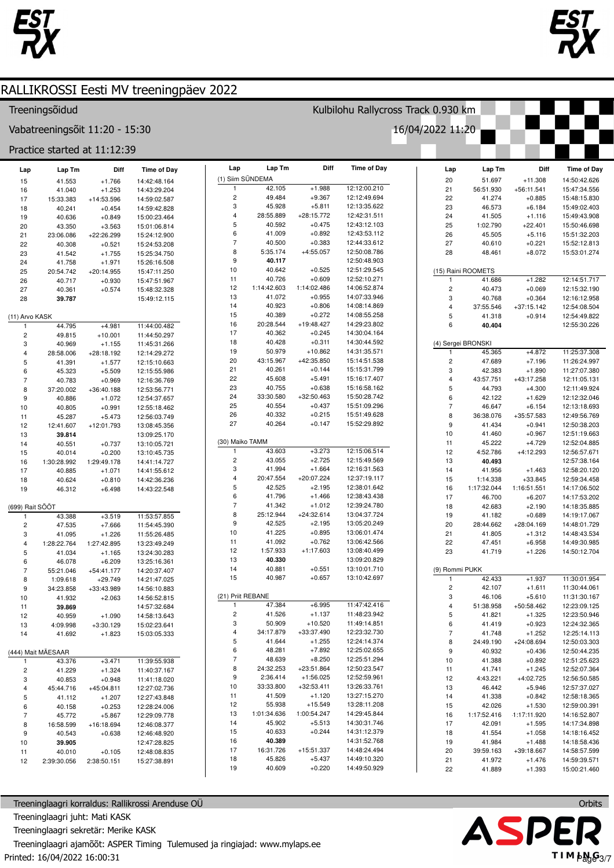



### Treeningsõidud

Vabatreeningsõit 11:20 - 15:30

### Practice started at 11:12:39

| Lap             | Lap Tm              | Diff                   | <b>Time of Day</b>           | Lap                      | Lap Tm              | Diff                   | <b>Time of Day</b>           | Lap                     | $\ensuremath{\mathsf{Lap}}\xspace\, \ensuremath{\mathsf{Tm}}\xspace$ | Diff                   | <b>Time of Day</b>           |
|-----------------|---------------------|------------------------|------------------------------|--------------------------|---------------------|------------------------|------------------------------|-------------------------|----------------------------------------------------------------------|------------------------|------------------------------|
| 15              | 41.553              | $+1.766$               | 14:42:48.164                 |                          | (1) Siim SÜNDEMA    |                        |                              | 20                      | 51.697                                                               | $+11.308$              | 14:50:42.626                 |
| 16              | 41.040              | $+1.253$               | 14:43:29.204                 | 1                        | 42.105              | $+1.988$               | 12:12:00.210                 | 21                      | 56:51.930                                                            | +56:11.541             | 15:47:34.556                 |
| 17              | 15:33.383           | +14:53.596             | 14:59:02.587                 | $\overline{c}$           | 49.484              | $+9.367$               | 12:12:49.694                 | 22                      | 41.274                                                               | $+0.885$               | 15:48:15.830                 |
| 18              | 40.241              | $+0.454$               | 14:59:42.828                 | 3                        | 45.928              | $+5.811$               | 12:13:35.622                 | 23                      | 46.573                                                               | $+6.184$               | 15:49:02.403                 |
| 19              | 40.636              | $+0.849$               | 15:00:23.464                 | $\overline{4}$           | 28:55.889           | $+28:15.772$           | 12:42:31.511                 | 24                      | 41.505                                                               | $+1.116$               | 15:49:43.908                 |
| 20              | 43.350              | $+3.563$               | 15:01:06.814                 | 5                        | 40.592              | $+0.475$               | 12:43:12.103                 | 25                      | 1:02.790                                                             | $+22.401$              | 15:50:46.698                 |
| 21              | 23:06.086           | +22:26.299             | 15:24:12.900                 | 6                        | 41.009              | $+0.892$               | 12:43:53.112                 | 26                      | 45.505                                                               | $+5.116$               | 15:51:32.203                 |
| 22              | 40.308              | $+0.521$               | 15:24:53.208                 | $\overline{\phantom{a}}$ | 40.500              | $+0.383$               | 12:44:33.612                 | 27                      | 40.610                                                               | $+0.221$               | 15:52:12.813                 |
| 23              | 41.542              | $+1.755$               | 15:25:34.750                 | 8                        | 5:35.174            | $+4:55.057$            | 12:50:08.786                 | 28                      | 48.461                                                               | $+8.072$               | 15:53:01.274                 |
| 24              | 41.758              | $+1.971$               | 15:26:16.508                 | 9                        | 40.117              |                        | 12:50:48.903                 |                         |                                                                      |                        |                              |
| 25              | 20:54.742           | $+20:14.955$           | 15:47:11.250                 | 10                       | 40.642              | $+0.525$               | 12:51:29.545                 |                         | (15) Raini ROOMETS                                                   |                        |                              |
| 26              | 40.717              | $+0.930$               | 15:47:51.967                 | 11                       | 40.726              | $+0.609$               | 12:52:10.271                 | 1                       | 41.686                                                               | $+1.282$               | 12:14:51.717                 |
| 27              | 40.361              | $+0.574$               | 15:48:32.328                 | 12                       | 1:14:42.603         | 1:14:02.486            | 14:06:52.874                 | $\mathbf 2$             | 40.473                                                               | $+0.069$               | 12:15:32.190                 |
| 28              | 39.787              |                        | 15:49:12.115                 | 13                       | 41.072              | $+0.955$               | 14:07:33.946                 | 3                       | 40.768                                                               | $+0.364$               | 12:16:12.958                 |
|                 |                     |                        |                              | 14                       | 40.923              | $+0.806$               | 14:08:14.869                 | $\overline{4}$          | 37:55.546                                                            | $+37:15.142$           | 12:54:08.504                 |
| (11) Arvo KASK  |                     |                        |                              | 15                       | 40.389              | $+0.272$               | 14:08:55.258                 | 5                       | 41.318                                                               | $+0.914$               | 12:54:49.822                 |
| $\mathbf{1}$    | 44.795              | $+4.981$               | 11:44:00.482                 | 16                       | 20:28.544           | +19:48.427             | 14:29:23.802                 | 6                       | 40.404                                                               |                        | 12:55:30.226                 |
| $\overline{c}$  | 49.815              | $+10.001$              | 11:44:50.297                 | 17                       | 40.362              | $+0.245$               | 14:30:04.164                 |                         |                                                                      |                        |                              |
| 3               | 40.969              | $+1.155$               | 11:45:31.266                 | 18                       | 40.428              | $+0.311$               | 14:30:44.592                 |                         | (4) Sergei BRONSKI                                                   |                        |                              |
| $\overline{4}$  | 28:58.006           | +28:18.192             | 12:14:29.272                 | 19                       | 50.979              | $+10.862$              | 14:31:35.571                 | $\mathbf{1}$            | 45.365                                                               | $+4.872$               | 11:25:37.308                 |
| $\,$ 5          | 41.391              | $+1.577$               | 12:15:10.663                 | 20                       | 43:15.967           | +42:35.850             | 15:14:51.538                 | $\mathbf 2$             | 47.689                                                               | $+7.196$               | 11:26:24.997                 |
| 6               | 45.323              | $+5.509$               | 12:15:55.986                 | 21                       | 40.261              | $+0.144$               | 15:15:31.799<br>15:16:17.407 | 3                       | 42.383                                                               | $+1.890$               | 11:27:07.380                 |
| $\overline{7}$  | 40.783              | $+0.969$               | 12:16:36.769                 | 22<br>23                 | 45.608<br>40.755    | $+5.491$<br>$+0.638$   |                              | $\overline{\mathbf{4}}$ | 43:57.751                                                            | +43:17.258             | 12:11:05.131                 |
| 8               | 37:20.002           | +36:40.188             | 12:53:56.771                 | 24                       | 33:30.580           | $+32:50.463$           | 15:16:58.162<br>15:50:28.742 | 5                       | 44.793                                                               | $+4.300$               | 12:11:49.924                 |
| 9               | 40.886              | $+1.072$               | 12:54:37.657                 | 25                       | 40.554              | $+0.437$               | 15:51:09.296                 | 6<br>$\overline{7}$     | 42.122                                                               | $+1.629$               | 12:12:32.046                 |
| 10              | 40.805              | $+0.991$               | 12:55:18.462                 | 26                       | 40.332              | $+0.215$               | 15:51:49.628                 | 8                       | 46.647                                                               | $+6.154$<br>+35:57.583 | 12:13:18.693                 |
| 11              | 45.287              | $+5.473$               | 12:56:03.749                 | 27                       | 40.264              | $+0.147$               | 15:52:29.892                 | 9                       | 36:38.076<br>41.434                                                  | $+0.941$               | 12:49:56.769<br>12:50:38.203 |
| 12              | 12:41.607<br>39.814 | +12:01.793             | 13:08:45.356                 |                          |                     |                        |                              | 10                      | 41.460                                                               | $+0.967$               | 12:51:19.663                 |
| 13              | 40.551              |                        | 13:09:25.170                 | (30) Maiko TAMM          |                     |                        |                              | 11                      | 45.222                                                               | $+4.729$               | 12:52:04.885                 |
| 14<br>15        | 40.014              | $+0.737$<br>$+0.200$   | 13:10:05.721<br>13:10:45.735 | $\mathbf{1}$             | 43.603              | $+3.273$               | 12:15:06.514                 | 12                      | 4:52.786                                                             | $+4:12.293$            | 12:56:57.671                 |
| 16              | 1:30:28.992         | 1:29:49.178            | 14:41:14.727                 | $\overline{\mathbf{c}}$  | 43.055              | $+2.725$               | 12:15:49.569                 | 13                      | 40.493                                                               |                        | 12:57:38.164                 |
| 17              | 40.885              | $+1.071$               | 14:41:55.612                 | 3                        | 41.994              | $+1.664$               | 12:16:31.563                 | 14                      | 41.956                                                               | $+1.463$               | 12:58:20.120                 |
| 18              | 40.624              | $+0.810$               | 14:42:36.236                 | $\overline{\mathbf{4}}$  | 20:47.554           | +20:07.224             | 12:37:19.117                 | 15                      | 1:14.338                                                             | $+33.845$              | 12:59:34.458                 |
| 19              | 46.312              | $+6.498$               | 14:43:22.548                 | 5                        | 42.525              | $+2.195$               | 12:38:01.642                 | 16                      | 1:17:32.044                                                          | 1:16:51.551            | 14:17:06.502                 |
|                 |                     |                        |                              | 6                        | 41.796              | $+1.466$               | 12:38:43.438                 | 17                      | 46.700                                                               | $+6.207$               | 14:17:53.202                 |
| (699) Rait SÖÖT |                     |                        |                              | $\overline{\phantom{a}}$ | 41.342              | $+1.012$               | 12:39:24.780                 | 18                      | 42.683                                                               | $+2.190$               | 14:18:35.885                 |
| $\mathbf{1}$    | 43.388              | $+3.519$               | 11:53:57.855                 | 8                        | 25:12.944           | $+24:32.614$           | 13:04:37.724                 | 19                      | 41.182                                                               | $+0.689$               | 14:19:17.067                 |
| $\overline{c}$  | 47.535              | $+7.666$               | 11:54:45.390                 | 9                        | 42.525              | $+2.195$               | 13:05:20.249                 | 20                      | 28:44.662                                                            | +28:04.169             | 14:48:01.729                 |
| 3               | 41.095              | $+1.226$               | 11:55:26.485                 | 10                       | 41.225              | $+0.895$               | 13:06:01.474                 | 21                      | 41.805                                                               | $+1.312$               | 14:48:43.534                 |
| $\overline{4}$  | 1:28:22.764         | 1:27:42.895            | 13:23:49.249                 | 11                       | 41.092              | $+0.762$               | 13:06:42.566                 | 22                      | 47.451                                                               | $+6.958$               | 14:49:30.985                 |
| $\mathbf 5$     | 41.034              | $+1.165$               | 13:24:30.283                 | 12                       | 1:57.933            | $+1:17.603$            | 13:08:40.499                 | 23                      | 41.719                                                               | $+1.226$               | 14:50:12.704                 |
| 6               | 46.078              | $+6.209$               | 13:25:16.361                 | 13                       | 40.330              |                        | 13:09:20.829                 |                         |                                                                      |                        |                              |
| $\overline{7}$  | 55:21.046           | $+54:41.177$           | 14:20:37.407                 | 14                       | 40.881              | $+0.551$               | 13:10:01.710                 |                         | (9) Rommi PUKK                                                       |                        |                              |
| 8               | 1:09.618            | $+29.749$              | 14:21:47.025                 | 15                       | 40.987              | $+0.657$               | 13:10:42.697                 | $\mathbf{1}$            | 42.433                                                               | $+1.937$               | 11:30:01.954                 |
| 9               | 34:23.858           | +33:43.989             | 14:56:10.883                 |                          |                     |                        |                              | $\sqrt{2}$              | 42.107                                                               | $+1.611$               | 11:30:44.061                 |
| 10              | 41.932              | $+2.063$               | 14:56:52.815                 | (21) Priit REBANE        |                     |                        |                              | 3                       | 46.106                                                               | $+5.610$               | 11:31:30.167                 |
| 11              | 39.869              |                        | 14:57:32.684                 | 1                        | 47.384              | $+6.995$               | 11:47:42.416                 | 4                       | 51:38.958                                                            | +50:58.462             | 12:23:09.125                 |
| 12              | 40.959              | $+1.090$               | 14:58:13.643                 | 2                        | 41.526              | $+1.137$               | 11:48:23.942                 | 5                       | 41.821                                                               | $+1.325$               | 12:23:50.946                 |
| 13              | 4:09.998            | $+3:30.129$            | 15:02:23.641                 | 3                        | 50.909<br>34:17.879 | $+10.520$              | 11:49:14.851<br>12:23:32.730 | 6                       | 41.419                                                               | $+0.923$               | 12:24:32.365                 |
| 14              | 41.692              | $+1.823$               | 15:03:05.333                 | 4<br>5                   | 41.644              | +33:37.490<br>$+1.255$ | 12:24:14.374                 | $\overline{7}$          | 41.748                                                               | $+1.252$               | 12:25:14.113                 |
|                 |                     |                        |                              | 6                        | 48.281              | $+7.892$               | 12:25:02.655                 | 8<br>9                  | 24:49.190<br>40.932                                                  | $+24:08.694$           | 12:50:03.303                 |
|                 | (444) Mait MÄESAAR  |                        |                              | $\overline{7}$           | 48.639              | $+8.250$               | 12:25:51.294                 |                         |                                                                      | $+0.436$               | 12:50:44.235                 |
| $\mathbf{1}$    | 43.376              | $+3.471$               | 11:39:55.938                 | 8                        | 24:32.253           | +23:51.864             | 12:50:23.547                 | 10<br>11                | 41.388<br>41.741                                                     | $+0.892$<br>$+1.245$   | 12:51:25.623<br>12:52:07.364 |
| $\overline{c}$  | 41.229              | $+1.324$               | 11:40:37.167                 | 9                        | 2:36.414            | $+1:56.025$            | 12:52:59.961                 | 12                      | 4:43.221                                                             | +4:02.725              | 12:56:50.585                 |
| 3<br>4          | 40.853              | $+0.948$<br>+45:04.811 | 11:41:18.020<br>12:27:02.736 | 10                       | 33:33.800           | $+32:53.411$           | 13:26:33.761                 | 13                      | 46.442                                                               | $+5.946$               | 12:57:37.027                 |
| 5               | 45:44.716<br>41.112 |                        | 12:27:43.848                 | 11                       | 41.509              | $+1.120$               | 13:27:15.270                 | 14                      | 41.338                                                               | $+0.842$               | 12:58:18.365                 |
| 6               | 40.158              | $+1.207$<br>$+0.253$   | 12:28:24.006                 | 12                       | 55.938              | $+15.549$              | 13:28:11.208                 | 15                      | 42.026                                                               | $+1.530$               | 12:59:00.391                 |
| $\overline{7}$  | 45.772              | $+5.867$               | 12:29:09.778                 | 13                       | 1:01:34.636         | 1:00:54.247            | 14:29:45.844                 | 16                      | 1:17:52.416                                                          | $-1:17:11.920$         | 14:16:52.807                 |
| 8               | 16:58.599           | +16:18.694             | 12:46:08.377                 | 14                       | 45.902              | $+5.513$               | 14:30:31.746                 | 17                      | 42.091                                                               | $+1.595$               | 14:17:34.898                 |
| 9               | 40.543              | $+0.638$               | 12:46:48.920                 | 15                       | 40.633              | $+0.244$               | 14:31:12.379                 | 18                      | 41.554                                                               | $+1.058$               | 14:18:16.452                 |
| 10              | 39.905              |                        | 12:47:28.825                 | 16                       | 40.389              |                        | 14:31:52.768                 | 19                      | 41.984                                                               | $+1.488$               | 14:18:58.436                 |
| 11              | 40.010              | $+0.105$               | 12:48:08.835                 | 17                       | 16:31.726           | +15:51.337             | 14:48:24.494                 | 20                      | 39:59.163                                                            | +39:18.667             | 14:58:57.599                 |
| 12              | 2:39:30.056         | 2:38:50.151            | 15:27:38.891                 | 18                       | 45.826              | $+5.437$               | 14:49:10.320                 | 21                      | 41.972                                                               | $+1.476$               | 14:59:39.571                 |
|                 |                     |                        |                              | 19                       | 40.609              | $+0.220$               | 14:49:50.929                 | 22                      | 41.889                                                               | $+1.393$               | 15:00:21.460                 |
|                 |                     |                        |                              |                          |                     |                        |                              |                         |                                                                      |                        |                              |

Kulbilohu Rallycross Track 0.930 km

16/04/2022 11:20

Treeninglaagri korraldus: Rallikrossi Arenduse OÜ Treeninglaagri juht: Mati KASK Treeninglaagri sekretär: Merike KASK Treeninglaagri ajamõõt: ASPER Timing Tulemused ja ringiajad: www.mylaps.ee Printed: 16/04/2022 16:00:31

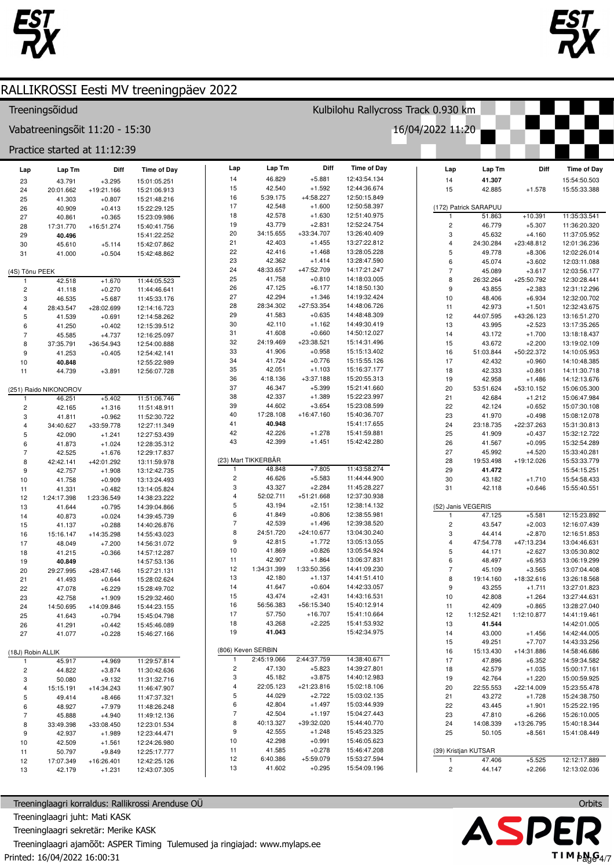

 $11$ 

 $12$ 

 $13$ 

50.797

42.179

17:07.349

 $+9.849$ 

 $+1.231$ 

 $+16:26.401$ 



**Time of Dav** 

15:54:50.503

 $15.55.33.388$ 

11:35:33.541

11:36:20.320

11:37:05.952

12:01:36.236

12:02:26.014

12:03:11 088

 $12.03.56$  177

12:30:28.441

12:31:12.296

12:32:00.702

12:32:43.675

13:16:51.270

13:17:35.265

13:18:18 437

13:19:02.109

14:10:05.953

14:10:48.385

14:11:30.718

14:12:13.676

15:06:05.300

15:06:47.984

15:07:30.108

15:08:12.078

15:31:30.813

15:32:12.722

15:32:54.289

15:33:40.281

15:53:33.779

15:54:15.251

15:54:58.433

15:55:40.551

12:15:23.892

12:16:07.439

12:16:51 853

 $13.04.46631$ 

13:05:30.802

13:06:19.299

13:07:04.408

13:26:18.568

13:27:01.823

13:27:44.631

13:28:27.040

14:41:19.461

14:42:01.005

14:42:44.005

14:43:33.256

14:58:46.686

14:59:34.582

15:00:17.161

15:00:59.925

15:23:55.478

15:24:38.750

15:25:22.195

15:26:10.005

15:40:18.344

15:41:08.449

12:12:17 889

12:13:02.036

Diff

### RALLIKROSSI Eesti MV treeningpäev 2022 Kulbilohu Rallycross Track 0.930 km Treeningsõidud Vabatreeningsõit 11:20 - 15:30 16/04/2022 11:20 Practice started at 11:12:39 Lap Lap Tm Diff **Time of Day** Lap Tm Diff **Time of Day** Lap Lap Tm Lap  $14$ 46.829  $+5.881$ 12:43:54.134 41.307  $14$ າາ  $13.791$  $+2.2995$ 15:01:05.251 42.540  $+1.592$ 12:44:36.674 15 42.885  $+1.578$  $24$ 20:01.662  $+19:21.166$ 15:21:06.913  $15$ 5:39.175  $+4:58.227$ 12:50:15.849 16 25 41.303  $+0.807$ 15:21:48.216 42.548 26 40.909  $+0.413$ 15:22:29.125  $17$  $+1.600$ 12:50:58.397 (172) Patrick SARAPUU  $18$ 42578  $+1.630$ 12:51:40.975  $+10.391$  $27$ 40.861  $+0.365$ 51.863 15:23:09.986 19 43.779  $+2.831$ 12:52:24.754  $\overline{2}$ 46.779  $+5.307$ 28 17:31.770  $+16:51.274$ 15:40:41.756  $20$ 34:15.655 +33:34.707 13:26:40.409  $\overline{3}$ 45 632  $+4,160$ 29 40.496 15:41:22.252  $21$ 42.403  $+1.455$ 13:27:22.812 +23:48.812  $\overline{4}$ 24:30.284  $30$ 45.610  $+5,114$ 15:42:07.862 42.416  $+1.468$ 13:28:05.228  $22$  $31$ 41.000  $+0.504$ 15:42:48.862 5 49.778  $+8.306$  $23$ 42.362  $+1414$ 13:28:47.590 6 45 074  $+3602$ 48:33.657  $+47:52709$ 14:17:21 247 24  $\overline{7}$ 45.089  $+2617$ (4S) Tõnu PEEK 25 41.758  $+0.810$ 14:18:03.005 8 26:32.264 +25:50.792 42.518  $+1.670$ 11:44:05.523  $\overline{2}$  $+0.270$ 11:44:46.641 26 47.125  $+6.177$ 14:18:50.130  $\overline{9}$ 43.855  $+2.383$ 41.118  $27$ 42.294  $+1.346$ 14:19:32 424  $10$ 48,406  $+6.934$ 46.535  $+5.687$ 3 11:45:33.176 28 28:34.302  $+27:53.354$ 14:48:06.726  $11$ 42.973  $+1.501$  $\overline{A}$ 28:43.547  $+28.0269$ 12:14:16 723 29 41.583  $+0.635$ 14:48:48.309 44:07.595  $12$  $+43:26.123$  $\overline{5}$ 41.539  $+0.691$  $12.14.58262$  $+1.162$ 30 42.110 14:49:30.419  $41.250$  $+0.402$ 12:15:39.512  $13$ 43 995  $+2.523$ 6 41.608  $+0.660$ 14:50:12.027  $31$ 45.585  $+4.737$ 12:16:25.097  $14$ 43 172  $+1,700$ 32 24:19.469  $+23:38.521$ 15:14:31.496  $15$ 43.672  $+2.200$  $\overline{8}$ 37:35.791  $+36:54.943$ 12:54:00.888  $33$ 41.906  $+0.958$ 15:15:13 402 16 51:03.844 +50:22.372 9 41.253  $+0.405$ 12:54:42.141  $34$  $A172A$  $+0.776$  $15.15.55126$  $17$ 42.432  $+0.960$  $10$ 40.848 12:55:22.989 35 42.051  $+1.103$ 15:16:37.177  $18$ 42.333  $+0.861$  $11$ 44 739  $+3.891$ 12:56:07.728 36 4:18.136  $+3:37.188$ 15:20:55.313 19 42.958  $+1.486$ 37 46.347  $+5.399$ 15:21:41.660 (251) Raido NIKONOROV  $20$ 53:51.624  $+53:10.152$ 38 42337  $+1.389$ 15:22:23.997  $+5.402$ 11:51:06.746  $21$ 42.684  $+1.212$ 46.251 39 44.602  $+3.654$ 15:23:08.599  $+1.316$ 22 42 124  $+0.652$  $\overline{2}$ 42.165 11:51:48.911 3 41.811  $+0.962$ 11:52:30.722  $40$ 17:28 108  $+16.47160$ 15:40:36 707 23 41.970  $+0.498$  $41$ 40.948 15:41:17.655  $+33:59.778$  $24$ 23:18.735  $+22:37.263$ 34:40.627 12:27:11.349  $\overline{4}$  $42$ 42.226  $+1.278$ 15:41:59.881 25  $\overline{5}$ 41,909  $+0.437$ 42.090  $+1.241$ 12:27:53.439 43 42.399  $+1.451$ 15:42:42.280 26 41.567  $+0.095$  $\epsilon$ 41873  $+1.024$ 12:28:35.312  $27$ 45.992  $+4.520$  $\overline{7}$ 42.525  $+1676$ 12:29:17.837 (23) Mart TIKKERBÄR 8 42:42.141  $+42:01.292$ 13:11:59.978 28 19:53.498  $+19:12.026$ 48.848  $+7.805$ 11:43:58.274  $\overline{9}$ 42757  $+1.908$ 13:12:42.735 29 41.472 46.626  $+5.583$ 11:44:44.900  $10$  $\overline{c}$  $30$ 43.182  $+1.710$ 41.758  $+0.909$ 13:13:24.493  $\mathcal{R}$ 43.327  $+2.284$ 11:45:28.227 41.331  $+0.482$ 13:14:05.824  $31$ 42.118  $+0.646$  $11$  $\overline{A}$  $52.02711$  $+51.21$  668 12:37:30.938 1:23:36.549  $12$ 1:24:17.398 14:38:23.222  $\overline{a}$ 43.194  $+2.151$ 12:38:14.132 (52) Janis VEGERIS  $13$ 41.644  $+0.795$ 14:39:04.866 6 41.849  $+0.806$ 12:38:55.981  $+5.581$ 47.125  $14$ 40.873  $+0.024$ 14:39:45 739  $\overline{7}$ 42.539  $+1.496$ 12:39:38.520 43.547  $+2.003$  $\overline{2}$ 15 41.137  $+0.288$ 14:40:26.876 8 24:51.720  $+24:10.677$ 13:04:30.240 44 4 14  $+2870$  $16$ 15:16.147  $+14:35.298$ 14:55:43.023  $\mathcal{R}$ 9 42.815  $+1.772$ 13:05:13.055  $17$ 48.049  $+7.200$ 14:56:31.072  $\overline{A}$  $47.54778$  $+47.13234$  $10$ 41869  $+0.826$ 13:05:54 924 44.171  $+2.627$  $18$ 41.215  $+0.366$ 14:57:12.287 5  $11$ 42 907  $+1.864$ 13:06:37.831  $6$ 48 497  $+6.953$ 19 40.849 14:57:53.136  $12$ 1:34:31.399 1:33:50.356 14:41:09.230  $+28:47.146$  $\overline{7}$ 45.109  $+3.565$  $20$ 29:27.995 15:27:21.131  $13$ 42.180  $+1.137$ 14:41:51.410  $\overline{8}$ 19:14.160  $+18:32.616$  $21$ 41.493  $+0.644$ 15:28:02.624 14:42:33.057  $14$ 41.647  $+0.604$ 43.255 22 47 078  $+6.229$ 15:28:49.702 9  $+1.711$  $15$ 43.474  $+2.431$ 14:43:16.531 23 42.758  $+1.909$ 15:29:32.460  $10$ 42808  $+1.264$ +56:15.340 16 56:56.383 15:40:12.914  $24$ 14:50.695  $+14:09.846$ 15:44:23.155  $11$ 42.409  $+0.865$  $25$ 17 57.750  $+16.707$ 15:41:10.664  $12$ 1:12:52.421 1:12:10.877 41.643  $+0.794$ 15:45:04.798 18 43.268  $+2.225$ 15:41:53.932  $13$ 41.544 26 41.291  $+0.442$ 15:45:46.089 19 41.043 15:42:34.975  $+1.456$  $27$ 41.077  $+0.228$ 15:46:27 166  $14$ 43.000 15 49.251  $+7.707$ (806) Keven SERBIN (18J) Robin ALLIK 16 15:13.430  $+14:31.886$ 2:45:19.066 2:44:37.759 14:38:40.671  $17$ 47,896  $+6.352$  $+4.969$ 45 917 11:29:57 814  $\overline{2}$ 47.130  $+5.823$ 14:39:27.801  $\overline{2}$  $AA$ 822  $+3.874$ 11:30:42.636 18 42.579  $+1.035$  $+3.875$ 3 45.182 14:40:12.983 19 42.764  $+1.220$ 3 50.080  $+9.132$ 11:31:32.716  $\overline{4}$ 22:05 123  $+21.23.816$ 15:02:18 106 20 22:55.553  $+22:14.009$  $\overline{4}$ 15:15.191  $+14:34.243$ 11:46:47.907  $\overline{5}$ 44.029  $+2.722$ 15:03:02.135  $21$ 43 272  $+1728$ 5 49.414  $+8.466$ 11:47:37.321 6 42804  $+1.497$ 15:03:44.939  $22$  $6\overline{6}$ 48.927  $+7.979$ 11:48:26.248 43.445  $+1.901$  $\overline{7}$ 42.504  $+1.197$ 15:04:27.443 23 47,810  $+6.266$  $\overline{7}$ 45.888  $+4.940$ 11:49:12.136 8 40:13.327 +39:32.020 15:44:40.770  $\overline{24}$  $14.08.339$  $+13.26795$  $\mathbf{a}$ 33:49.398  $+33:08.450$ 12:23:01.534 9 42.555  $+1.248$ 15:45:23.325  $25$  $+8.561$  $\circ$ 42.937  $+1.989$ 12:23:44 471 50.105  $10$ 42.298  $+0.991$ 15:46:05.623  $10$ 42509  $+1.561$ 12:24:26.980

 $+0.278$ 

 $+0.295$ 

 $+5:59.079$ 

15:46:47.208

15:53:27.594

15:54:09.196

41.585

41.602

6:40.386

 $11$ 

 $12$ 

 $13$ 

Treeninglaagri korraldus: Rallikrossi Arenduse OÜ Treeninglaagri juht: Mati KASK Treeninglaagri sekretär: Merike KASK Treeninglaagri ajamõõt: ASPER Timing Tulemused ja ringiajad: www.mylaps.ee Printed: 16/04/2022 16:00:31

12:25:17.777

12:42:25.126

12:43:07.305



 $+5.525$ 

 $+2.266$ 

(39) Kristjan KUTSAR

 $\overline{2}$ 

47406

44.147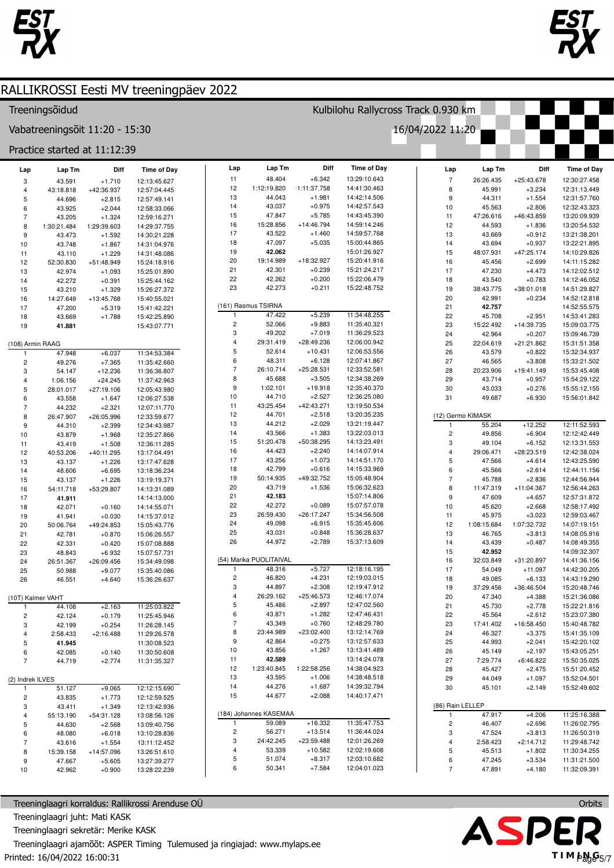



### RALLIKROSSI Eesti MV treeningpäev 2022 Kulbilohu Rallycross Track 0.930 km Treeningsõidud 16/04/2022 11:20 Vabatreeningsõit 11:20 - 15:30 Practice started at 11:12:39 Lap Lap Tm Diff **Time of Day** Diff Lap Tm Diff **Time of Day** Lap Lap Tm **Time of Dav** Lap  $11$ 48.404  $+6.342$ 13:29:10.643  $\overline{7}$ 26:26.435  $+25:43.678$ 12:30:27.458  $\overline{a}$  $43.591$  $+1.710$  $12.13.45627$  $12$ 1:12:19.820  $-1:11:37.758$ 14:41:30.463 45.991  $\overline{A}$ 43:18.818  $+42.36937$ 12:57:04.445  $\mathbf{a}$  $+3.234$ 12:31:13 449 44 043  $+1.981$ 14:42:14.506  $13$  $+1.554$ 9 44.311 12:31:57.760 5 44.696  $+2.815$ 12:57:49.141 43.037 43.925  $+2.044$ 12:58:33.066  $14$  $+0.975$ 14:42:57.543  $10$  $45583$  $+2806$ 12:32:43.323  $\,6$ 15 47847  $+5,785$  $14.43.45.390$ 47:26.616 +46:43.859  $11$ 13:20:09.939  $\overline{7}$ 43.205  $+1.324$ 12:59:16.271 16 15:28.856  $+14:46.794$ 14:59:14.246  $12$ 44.593  $+1.836$ 13:20:54.532 8 1:30:21.484 1:29:39.603 14:29:37.755  $17$ 43.522  $+1.460$ 14:59:57.768  $13$ 43.669  $+0.912$ 13:21:38.201  $\mathbf{q}$ 43 473  $+1.592$ 14:30:21.228  $18$ 47.097  $+5.035$ 15:00:44.865  $+0.937$  $14$ 43.694 13:22:21.895  $10$ 43 748  $+1.867$ 14:31:04 976 42.062 15:01:26.927 19 48:07.931  $+47:25.174$  $11$ 43.110  $+1.229$ 14:31:48.086 15 14:10:29.826  $20$ 19:14 989  $+18:3297$ 15:20:41.916  $12$ 52:30.830  $+51:48.949$ 15:24:18.916 16 45456  $+2699$ 14:11:15.282 42.301  $+0.239$ 15:21:24 217  $21$  $17$ **47.230**  $+4.473$  $14.12.02512$  $13$ 42.974  $+1.093$ 15:25:01.890 22 42.262  $+0.200$ 15:22:06.479 18 43.540  $+0.783$ 14:12:46.052  $14$ 42.272  $+0.391$ 15:25:44.162 23 42.273  $+0.211$ 15:22:48.752 19 38:43.775  $+38:01.018$ 14:51:29.827 15 43.210  $+1.329$ 15:26:27.372  $20$ 42.991  $+0.234$ 14:52:12.818 14:27.649  $+13:45.768$ 16 15:40:55.021 (161) Rasmus TSIRNA  $21$ 42.757 14:52:55.575  $17$ 47 200  $+5.319$ 15:41:42.221 47.422  $+5.239$ 11:34:48.255  $22$ 45.708  $+2.951$ 14:53:41.283  $18$ 43.669  $+1.788$  $15.42.25$  890  $\overline{2}$ 52.066  $+9.883$ 11:35:40.321 41.881 15:43:07.771 23 15:22 492  $+14:39735$ 15:09:03 775  $19$ 3 49.202  $+7.019$ 11:36:29.523  $24$ 42.964  $+0.207$ 15:09:46 739 (108) Armin RAAG  $\overline{4}$ 29:31.419  $+28:49.236$ 12:06:00.942 25 22:04.619  $+21:21.862$ 15:31:51.358  $+10.431$ 5 52.614 12:06:53.556 26 47.948  $+6.03$ 11:34:53.384 43.579  $+0.822$ 15:32:34.937  $\mathbf{a}$ 48.311  $+6,128$  $12.07.41.867$ 49.276  $+7.365$  $27$ 46.565  $+3.808$ 15:33:21.502  $\overline{2}$ 11:35:42.660  $\overline{7}$ 26:10.714  $+25:28.531$ 12:33:52.581  $28$ 20:23.906  $+19:41.149$ 15:53:45.408  $\mathcal{R}$ 54 147  $+12236$ 11:36:36.807 8 45.688  $+3.505$ 12:34:38.269 29 43.714  $+0.957$ 15:54:29.122  $\overline{4}$ 1:06.156  $+24.245$ 11:37:42.963  $\overline{9}$ 1:02.101  $+19.918$ 12:35:40.370  $\overline{5}$ 28:01.017  $+27:19.106$ 12:05:43.980  $30$ 43.033  $+0.276$ 15:55:12.155  $10$ 44 710  $+2.527$ 12:36:25.080  $31$ 49.687  $+6.930$ 15:56:01.842  $6\phantom{a}$ 43.558  $+1.647$ 12:06:27.538  $+42:43.271$ 43:25.454 13:19:50.534 11 44.232  $+2.321$ 12:07:11.770  $\overline{8}$ 26:47.907  $+26:05.996$ 12:33:59.677  $12$ 44 701  $+2.518$ 13:20:35.235 (12) Germo KIMASK  $13$ 44.212  $+2.029$ 13:21:19.447  $+12.252$ 12:11:52.593 55.204 9 44.310  $+2.399$ 12:34:43.987  $14$ 43.566  $+1.383$ 13:22:03.013  $10$  $\overline{c}$ 49.856  $+6.904$ 12:12:42.449 43.879  $+1.968$ 12:35:27.866 51:20.478 +50:38.295  $+6.152$ 43.419  $+1.508$ 15 14:13:23.491 3 49.104 12:13:31.553  $11$ 12:36:11.285 16 44.423  $+2.240$ 14:14:07.914  $+28:23.519$ 29:06.471 12:42:38.024  $12$  $40.53206$  $+40.11295$ 13:17:04.491  $\overline{4}$  $17$ 43.256  $+1.073$ 14:14:51 170  $13\,$ 43.137  $+1.226$ 13:17:47.628 5 47.566  $+4.614$ 12:43:25.590 42.799 14:15:33.969  $18$  $+0.616$  $14$ 48.606  $+6695$ 13:18:36.234 6 45.566  $+2.614$ 12:44:11.156 +49:32.752 19 50:14.935 15:05:48.904  $\overline{7}$ 45.788  $+2.836$ 12:44:56.944 15 43.137  $+1.226$ 13:19:19.371 15:06:32.623  $+11:04.367$ 54:11.718 +53:29.807  $20$ 43719  $+1.536$ 8 11:47.319 12:56:44.263 16 14:13:31.089  $21$ 42.183  $15:07:14$  806  $\mathbf{q}$ 47.609  $+4.657$ 12:57:31.872  $17$ 41.911 14:14:13.000  $22$ 42 272  $+0.089$ 15:07:57.078  $10$ 45.620  $+2.668$ 12:58:17.492  $+0.160$ 42.071 18 14:14:55.071 23 26:59.430  $+26:17.247$ 15:34:56.508 45.975  $+3.023$  $11$ 12:59:03.467  $19$ 41 941  $+0.030$ 14:15:37.012  $24$ 49.098  $+6.915$ 15:35:45.606 1:08:15.684 1:07:32.732  $12$ 14:07:19.151 20 50:06.764  $+49:24.853$ 15:05:43.776 25 43.031  $+0.848$ 15:36:28.637  $13$ 46 765  $21$ 42781  $+0.870$ 15:06:26.557  $+3.813$ 14:08:05.916 26 44.972  $+2.789$ 15:37:13.609 22 42.331  $+0.420$ 15:07:08.888  $14$ 43.439  $+0.487$ 14:08:49.355 15 42.952 14:09:32.307 23 48.843  $+6.932$ 15:07:57.731 (54) Marika PUOLITAIVAL 26:51.367  $16$ 32:03.849  $+31:20.897$  $24$ 14:41:36.156  $+26:09.456$ 15:34:49.098 48.316  $+5727$ 12:18:16.195  $25$ 7  $17$ 54.049  $+11.097$ 14:42:30.205 50.988  $+9.077$ 15:35:40.086  $\overline{c}$ 46.820  $+4.231$ 12:19:03.015  $18$ 49.085  $+6.133$ 14:43:19.290  $26$ 46.551 15:36:26.637  $+4.640$  $+2.308$ 3 44 897 12:19:47.912 37:29.456 +36:46.504 15:20:48.746 19  $\overline{4}$ 26:29.162  $+25:46.573$ 12:46:17.074  $20$ (10T) Kalmer VAHT 47 340  $+4.388$ 15:21:36.086 12:47:02.560  $\overline{5}$ 45.486  $+2.897$  $21$ 45.730 44.108  $+2.163$ 11:25:03.822  $+2.778$ 15:22:21.816  $+1.282$ 6 43.871 12:47:46.431  $22$ 45.564  $+2612$ 15:23:07.380  $\overline{2}$ 42.124  $+0.179$ 11:25:45.946  $\overline{7}$ 43.349  $+0.760$ 12:48:29.780  $23$  $17:41.402$  $+16:58450$ 15:40:48.782 3 42.199  $+0.254$ 11:26:28.145  $\mathbf{R}$ 23:44 989  $+23.02$  400 13:12:14 769  $+3.375$  $+2.16488$  $24$ 46.327 15:41:35.109  $\overline{4}$  $2:58.433$ 11:29:26.578  $\mathbf{q}$ 42864  $+0.275$ 13:12:57.633 25 44.993  $+2.041$ 15:42:20.102  $\overline{5}$ 41.945 11:30:08.523  $10$ 43856  $+1.267$ 13:13:41.489 26 45.149  $+2.197$ 15:43:05.251  $\epsilon$ 42.085  $+0.140$  $11:30:50$  608  $11$ 42.589 13:14:24.078  $27$ 7:29.774  $+6:46.822$ 15:50:35.025 44 719  $+2774$ 11:31:35.327  $\overline{7}$ 14:38:04.923  $12$ 1:23:40.845 1:22:58.256 28 45.427  $+2.475$ 15:51:20.452 14:38:48.518 (2) Indrek ILVES 13 43.595  $+1.006$ 29 44.049  $+1.097$ 15:52:04.501 44 276  $+1687$ 14:39:32.794  $14$ 30 45.101  $+2.149$ 15:52:49.602 51.127  $+9.065$ 12:12:15.690  $+2.088$ 15 44.677 14:40:17.471  $\overline{2}$ 43.835  $+1.773$ 12:12:59.525  $+1.349$ 12:13:42.936  $\overline{3}$ 43.411 (86) Rain LELLEF (184) Johannes KASEMAA 47.917  $+4.206$ 11:25:16.388  $\overline{4}$ 55:13.190  $+54:31.128$ 13:08:56.126 11:35:47.753  $+16.332$ 59.089  $\overline{2}$ 46 407  $+2696$ 11:26:02.795  $\overline{5}$ 44 630  $+2.568$ 13:09:40.756  $\overline{2}$ 56.271  $+13.514$ 11:36:44.024 3 47.524  $+3.813$ 11:26:50.319  $\epsilon$ 48.080  $+6.018$ 13:10:28.836 3 24:42.245  $+23:59.488$ 12:01:26.269 43.616  $+1.554$ 13:11:12.452  $\Delta$  $2.58423$  $+2.14712$ 11:29:48.742  $\overline{z}$  $\overline{4}$ 53.339  $+10.582$ 12:02:19.608 5 45.513  $+1.802$ 11:30:34.255 8 15:39.158  $+14:57.096$ 13:26:51.610 5 51.074  $+8.317$  $\overline{9}$ 47.667  $+5.605$ 13:27:39.277 12:03:10.682  $6$ 47 245  $+3.534$ 11:31:21.500 6 50.341  $+7.584$ 12:04:01.023  $\overline{7}$  $10$ 42.962  $+0.900$ 13:28:22.239 47.891  $+4.180$ 11:32:09.391

Treeninglaagri korraldus: Rallikrossi Arenduse OÜ Treeninglaagri juht: Mati KASK Treeninglaagri sekretär: Merike KASK Treeninglaagri ajamõõt: ASPER Timing Tulemused ja ringiajad: www.mylaps.ee Printed: 16/04/2022 16:00:31

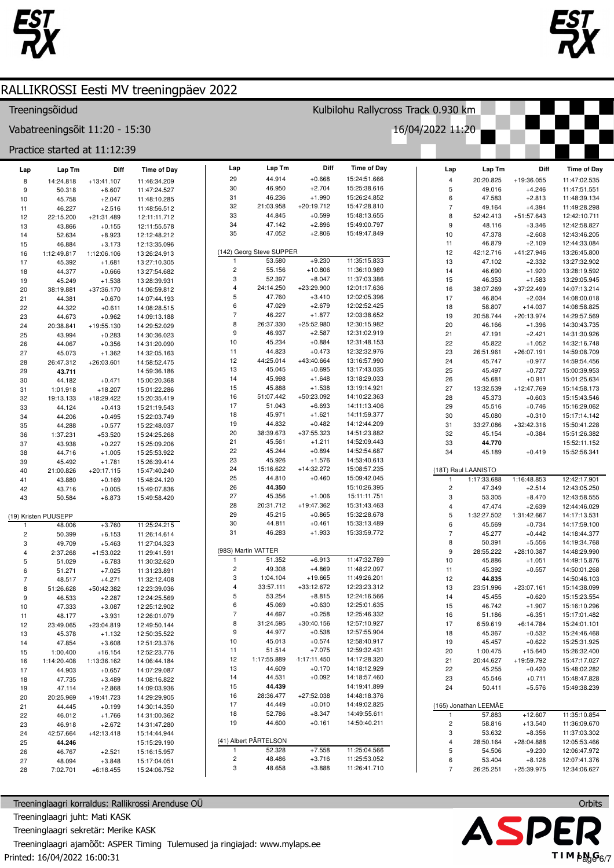



### Treeningsõidud

Vabatreeningsõit 11:20 - 15:30

Practice started at 11:12:39

| Lap                     | Lap Tm               | Diff                 | <b>Time of Day</b>           | Lap                     | Lap Tm                   | Diff                   | <b>Time of Day</b>           | Lap                          | Lap Tm                | Diff                    | <b>Time of Day</b>           |
|-------------------------|----------------------|----------------------|------------------------------|-------------------------|--------------------------|------------------------|------------------------------|------------------------------|-----------------------|-------------------------|------------------------------|
| 8                       | 14:24.818            | $+13:41.107$         | 11:46:34.209                 | 29                      | 44.914                   | $+0.668$               | 15:24:51.666                 | $\overline{4}$               | 20:20.825             | +19:36.055              | 11:47:02.535                 |
| 9                       | 50.318               | $+6.607$             | 11:47:24.527                 | 30                      | 46.950                   | $+2.704$               | 15:25:38.616                 | 5                            | 49.016                | $+4.246$                | 11:47:51.551                 |
| 10                      | 45.758               | $+2.047$             | 11:48:10.285                 | 31                      | 46.236                   | $+1.990$               | 15:26:24.852                 | 6                            | 47.583                | $+2.813$                | 11:48:39.134                 |
| 11                      | 46.227               | $+2.516$             | 11:48:56.512                 | 32                      | 21:03.958                | $+20:19.712$           | 15:47:28.810                 | $\overline{7}$               | 49.164                | $+4.394$                | 11:49:28.298                 |
| 12                      | 22:15.200            | $+21:31.489$         | 12:11:11.712                 | 33                      | 44.845                   | $+0.599$               | 15:48:13.655                 | 8                            | 52:42.413             | +51:57.643              | 12:42:10.711                 |
| 13                      | 43.866               | $+0.155$             | 12:11:55.578                 | 34                      | 47.142                   | $+2.896$               | 15:49:00.797                 | 9                            | 48.116                | $+3.346$                | 12:42:58.827                 |
| 14                      | 52.634               | $+8.923$             | 12:12:48.212                 | 35                      | 47.052                   | $+2.806$               | 15:49:47.849                 | 10                           | 47.378                | $+2.608$                | 12:43:46.205                 |
| 15                      | 46.884               | $+3.173$             | 12:13:35.096                 |                         |                          |                        |                              | 11                           | 46.879                | $+2.109$                | 12:44:33.084                 |
| 16                      | 1:12:49.817          | 1:12:06.106          | 13:26:24.913                 |                         | (142) Georg Steve SUPPER |                        |                              | 12                           | 42:12.716             | +41:27.946              | 13:26:45.800                 |
| 17                      | 45.392               | $+1.681$             | 13:27:10.305                 | $\mathbf{1}$            | 53.580                   | $+9.230$               | 11:35:15.833                 | 13                           | 47.102                | $+2.332$                | 13:27:32.902                 |
| 18                      | 44.377               | $+0.666$             | 13:27:54.682                 | $\overline{c}$<br>3     | 55.156                   | $+10.806$              | 11:36:10.989<br>11:37:03.386 | 14                           | 46.690                | $+1.920$                | 13:28:19.592                 |
| 19                      | 45.249               | $+1.538$             | 13:28:39.931                 | $\overline{\mathbf{4}}$ | 52.397<br>24:14.250      | $+8.047$<br>+23:29.900 | 12:01:17.636                 | 15                           | 46.353                | $+1.583$                | 13:29:05.945                 |
| 20                      | 38:19.881            | $+37:36.170$         | 14:06:59.812                 | 5                       | 47.760                   | $+3.410$               | 12:02:05.396                 | 16<br>17                     | 38:07.269<br>46.804   | +37:22.499<br>$+2.034$  | 14:07:13.214                 |
| 21                      | 44.381               | $+0.670$             | 14:07:44.193                 | 6                       | 47.029                   | $+2.679$               | 12:02:52.425                 | 18                           | 58.807                | $+14.037$               | 14:08:00.018<br>14:08:58.825 |
| 22                      | 44.322               | $+0.611$<br>$+0.962$ | 14:08:28.515                 | $\overline{7}$          | 46.227                   | $+1.877$               | 12:03:38.652                 | 19                           | 20:58.744             | +20:13.974              | 14:29:57.569                 |
| 23<br>24                | 44.673<br>20:38.841  | $+19:55.130$         | 14:09:13.188<br>14:29:52.029 | 8                       | 26:37.330                | $+25:52.980$           | 12:30:15.982                 | 20                           | 46.166                | $+1.396$                | 14:30:43.735                 |
| 25                      | 43.994               | $+0.283$             | 14:30:36.023                 | 9                       | 46.937                   | $+2.587$               | 12:31:02.919                 | 21                           | 47.191                | $+2.421$                | 14:31:30.926                 |
| 26                      | 44.067               | $+0.356$             | 14:31:20.090                 | 10                      | 45.234                   | $+0.884$               | 12:31:48.153                 | 22                           | 45.822                | $+1.052$                | 14:32:16.748                 |
| 27                      | 45.073               | $+1.362$             | 14:32:05.163                 | 11                      | 44.823                   | $+0.473$               | 12:32:32.976                 | 23                           | 26:51.961             | $+26:07.191$            | 14:59:08.709                 |
| 28                      | 26:47.312            | +26:03.601           | 14:58:52.475                 | 12                      | 44:25.014                | +43:40.664             | 13:16:57.990                 | 24                           | 45.747                | $+0.977$                | 14:59:54.456                 |
| 29                      | 43.711               |                      | 14:59:36.186                 | 13                      | 45.045                   | $+0.695$               | 13:17:43.035                 | 25                           | 45.497                | $+0.727$                | 15:00:39.953                 |
| 30                      | 44.182               | $+0.471$             | 15:00:20.368                 | 14                      | 45.998                   | $+1.648$               | 13:18:29.033                 | 26                           | 45.681                | $+0.911$                | 15:01:25.634                 |
| 31                      | 1:01.918             | $+18.207$            | 15:01:22.286                 | 15                      | 45.888                   | $+1.538$               | 13:19:14.921                 | 27                           | 13:32.539             | +12:47.769              | 15:14:58.173                 |
| 32                      | 19:13.133            | +18:29.422           | 15:20:35.419                 | 16                      | 51:07.442                | +50:23.092             | 14:10:22.363                 | 28                           | 45.373                | $+0.603$                | 15:15:43.546                 |
| 33                      | 44.124               | $+0.413$             | 15:21:19.543                 | 17                      | 51.043                   | $+6.693$               | 14:11:13.406                 | 29                           | 45.516                | $+0.746$                | 15:16:29.062                 |
| 34                      | 44.206               | $+0.495$             | 15:22:03.749                 | 18                      | 45.971                   | $+1.621$               | 14:11:59.377                 | 30                           | 45.080                | $+0.310$                | 15:17:14.142                 |
| 35                      | 44.288               | $+0.577$             | 15:22:48.037                 | 19                      | 44.832                   | $+0.482$               | 14:12:44.209                 | 31                           | 33:27.086             | +32:42.316              | 15:50:41.228                 |
| 36                      | 1:37.231             | $+53.520$            | 15:24:25.268                 | 20                      | 38:39.673                | $+37:55.323$           | 14:51:23.882                 | 32                           | 45.154                | $+0.384$                | 15:51:26.382                 |
| 37                      | 43.938               | $+0.227$             | 15:25:09.206                 | 21                      | 45.561                   | $+1.211$               | 14:52:09.443                 | 33                           | 44.770                |                         | 15:52:11.152                 |
| 38                      | 44.716               | $+1.005$             | 15:25:53.922                 | 22                      | 45.244                   | $+0.894$               | 14:52:54.687                 | 34                           | 45.189                | $+0.419$                | 15:52:56.341                 |
| 39                      | 45.492               | $+1.781$             | 15:26:39.414                 | 23                      | 45.926                   | $+1.576$               | 14:53:40.613                 |                              |                       |                         |                              |
| 40                      | 21:00.826            | $+20:17.115$         | 15:47:40.240                 | 24                      | 15:16.622                | $+14:32.272$           | 15:08:57.235                 |                              | (18T) Raul LAANISTO   |                         |                              |
| 41                      | 43.880               | $+0.169$             | 15:48:24.120                 | 25                      | 44.810                   | $+0.460$               | 15:09:42.045                 | -1                           | 1:17:33.688           | 1:16:48.853             | 12:42:17.901                 |
| 42                      | 43.716               | $+0.005$             | 15:49:07.836                 | 26<br>27                | 44.350<br>45.356         | $+1.006$               | 15:10:26.395                 | $\overline{\mathbf{c}}$      | 47.349                | $+2.514$                | 12:43:05.250                 |
| 43                      | 50.584               | $+6.873$             | 15:49:58.420                 | 28                      | 20:31.712                | +19:47.362             | 15:11:11.751<br>15:31:43.463 | 3                            | 53.305                | $+8.470$                | 12:43:58.555                 |
|                         |                      |                      |                              | 29                      | 45.215                   | $+0.865$               | 15:32:28.678                 | $\overline{4}$<br>5          | 47.474                | $+2.639$                | 12:44:46.029                 |
|                         | (19) Kristen PUUSEPP |                      |                              | 30                      | 44.811                   | $+0.461$               | 15:33:13.489                 | 6                            | 1:32:27.502<br>45.569 | 1:31:42.667<br>$+0.734$ | 14:17:13.531<br>14:17:59.100 |
| 1<br>$\overline{c}$     | 48.006<br>50.399     | $+3.760$<br>$+6.153$ | 11:25:24.215<br>11:26:14.614 | 31                      | 46.283                   | $+1.933$               | 15:33:59.772                 | $\overline{7}$               | 45.277                | $+0.442$                | 14:18:44.377                 |
| 3                       | 49.709               | $+5.463$             | 11:27:04.323                 |                         |                          |                        |                              | 8                            | 50.391                | $+5.556$                | 14:19:34.768                 |
| $\overline{\mathbf{4}}$ | 2:37.268             | +1:53.022            | 11:29:41.591                 |                         | (98S) Martin VATTER      |                        |                              | 9                            | 28:55.222             | +28:10.387              | 14:48:29.990                 |
| 5                       | 51.029               | $+6.783$             | 11:30:32.620                 | $\mathbf{1}$            | 51.352                   | $+6.913$               | 11:47:32.789                 | 10                           | 45.886                | $+1.051$                | 14:49:15.876                 |
| 6                       | 51.271               | $+7.025$             | 11:31:23.891                 | $\overline{c}$          | 49.308                   | $+4.869$               | 11:48:22.097                 | 11                           | 45.392                | $+0.557$                | 14:50:01.268                 |
| $\overline{7}$          | 48.517               | $+4.271$             | 11:32:12.408                 | 3                       | 1:04.104                 | $+19.665$              | 11:49:26.201                 | 12                           | 44.835                |                         | 14:50:46.103                 |
| 8                       | 51:26.628            | +50:42.382           | 12:23:39.036                 | $\overline{4}$          | 33:57.111                | +33:12.672             | 12:23:23.312                 | 13                           | 23:51.996             | $+23:07.161$            | 15:14:38.099                 |
| $\boldsymbol{9}$        | 46.533               | $+2.287$             | 12:24:25.569                 | 5                       | 53.254                   | $+8.815$               | 12:24:16.566                 | 14                           | 45.455                | $+0.620$                | 15:15:23.554                 |
| 10                      | 47.333               | $+3.087$             | 12:25:12.902                 | 6                       | 45.069                   | $+0.630$               | 12:25:01.635                 | 15                           | 46.742                | $+1.907$                | 15:16:10.296                 |
| 11                      | 48.177               | $+3.931$             | 12:26:01.079                 | $\overline{7}$          | 44.697                   | $+0.258$               | 12:25:46.332                 | 16                           | 51.186                | $+6.351$                | 15:17:01.482                 |
| 12                      | 23:49.065            | +23:04.819           | 12:49:50.144                 | 8                       | 31:24.595                | $+30:40.156$           | 12:57:10.927                 | 17                           | 6:59.619              | $+6:14.784$             | 15:24:01.101                 |
| 13                      | 45.378               | $+1.132$             | 12:50:35.522                 | 9                       | 44.977                   | $+0.538$               | 12:57:55.904                 | 18                           | 45.367                | $+0.532$                | 15:24:46.468                 |
| 14                      | 47.854               | $+3.608$             | 12:51:23.376                 | 10                      | 45.013                   | $+0.574$               | 12:58:40.917                 | 19                           | 45.457                | $+0.622$                | 15:25:31.925                 |
| 15                      | 1:00.400             | $+16.154$            | 12:52:23.776                 | 11                      | 51.514                   | $+7.075$               | 12:59:32.431                 | 20                           | 1:00.475              | $+15.640$               | 15:26:32.400                 |
| 16                      | 1:14:20.408          | 1:13:36.162          | 14:06:44.184                 | 12                      | 1:17:55.889              | $-1:17:11.450$         | 14:17:28.320                 | 21                           | 20:44.627             | +19:59.792              | 15:47:17.027                 |
| 17                      | 44.903               | $+0.657$             | 14:07:29.087                 | 13                      | 44.609                   | $+0.170$               | 14:18:12.929                 | 22                           | 45.255                | $+0.420$                | 15:48:02.282                 |
| 18                      | 47.735               | $+3.489$             | 14:08:16.822                 | 14                      | 44.531                   | $+0.092$               | 14:18:57.460                 | 23                           | 45.546                | $+0.711$                | 15:48:47.828                 |
| 19                      | 47.114               | $+2.868$             | 14:09:03.936                 | 15                      | 44.439                   |                        | 14:19:41.899                 | 24                           | 50.411                | $+5.576$                | 15:49:38.239                 |
| 20                      | 20:25.969            | +19:41.723           | 14:29:29.905                 | 16                      | 28:36.477                | +27:52.038             | 14:48:18.376                 |                              |                       |                         |                              |
| 21                      | 44.445               | $+0.199$             | 14:30:14.350                 | 17                      | 44.449<br>52.786         | $+0.010$<br>$+8.347$   | 14:49:02.825<br>14:49:55.611 |                              | (165) Jonathan LEEMÄE |                         |                              |
| 22                      | 46.012               | $+1.766$             | 14:31:00.362                 | 18<br>19                | 44.600                   | $+0.161$               | 14:50:40.211                 | $\mathbf{1}$                 | 57.883                | $+12.607$               | 11:35:10.854                 |
| 23                      | 46.918               | $+2.672$             | 14:31:47.280                 |                         |                          |                        |                              | $\overline{\mathbf{c}}$<br>3 | 58.816<br>53.632      | $+13.540$<br>$+8.356$   | 11:36:09.670<br>11:37:03.302 |
| 24                      | 42:57.664            | $+42:13.418$         | 15:14:44.944                 |                         | (41) Albert PÄRTELSON    |                        |                              | $\overline{4}$               | 28:50.164             | +28:04.888              | 12:05:53.466                 |
| 25                      | 44.246<br>46.767     | $+2.521$             | 15:15:29.190                 | $\overline{1}$          | 52.328                   | $+7.558$               | 11:25:04.566                 | 5                            | 54.506                | $+9.230$                | 12:06:47.972                 |
| 26<br>27                | 48.094               | $+3.848$             | 15:16:15.957<br>15:17:04.051 | $\overline{\mathbf{c}}$ | 48.486                   | $+3.716$               | 11:25:53.052                 | 6                            | 53.404                | $+8.128$                | 12:07:41.376                 |
| 28                      | 7:02.701             | $+6:18.455$          | 15:24:06.752                 | 3                       | 48.658                   | $+3.888$               | 11:26:41.710                 | $\overline{7}$               | 26:25.251             | +25:39.975              | 12:34:06.627                 |
|                         |                      |                      |                              |                         |                          |                        |                              |                              |                       |                         |                              |

Kulbilohu Rallycross Track 0.930 km

16/04/2022 11:20



Orbits

ASPEI  $TI$  M  $M_{\odot}G_{6/7}$